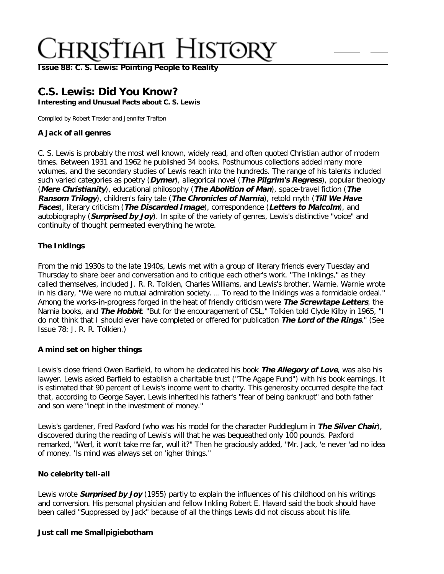**[Issue 88: C. S. Lewis: Pointing People to Reality](http://ctlstaging/ch/cdrom/collection.html?id=2868)**

## **C.S. Lewis: Did You Know?**

**Interesting and Unusual Facts about C. S. Lewis**

Compiled by Robert Trexler and Jennifer Trafton

### **A Jack of all genres**

C. S. Lewis is probably the most well known, widely read, and often quoted Christian author of modern times. Between 1931 and 1962 he published 34 books. Posthumous collections added many more volumes, and the secondary studies of Lewis reach into the hundreds. The range of his talents included such varied categories as poetry (**Dymer**), allegorical novel (**The Pilgrim's Regress**), popular theology (**Mere Christianity**), educational philosophy (**The Abolition of Man**), space-travel fiction (**The Ransom Trilogy**), children's fairy tale (**The Chronicles of Narnia**), retold myth (**Till We Have Faces**), literary criticism (**The Discarded Image**), correspondence (**Letters to Malcolm**), and autobiography (**Surprised by Joy**). In spite of the variety of genres, Lewis's distinctive "voice" and continuity of thought permeated everything he wrote.

### **The Inklings**

From the mid 1930s to the late 1940s, Lewis met with a group of literary friends every Tuesday and Thursday to share beer and conversation and to critique each other's work. "The Inklings," as they called themselves, included J. R. R. Tolkien, Charles Williams, and Lewis's brother, Warnie. Warnie wrote in his diary, "We were no mutual admiration society. … To read to the Inklings was a formidable ordeal." Among the works-in-progress forged in the heat of friendly criticism were **The Screwtape Letters**, the Narnia books, and **The Hobbit**. "But for the encouragement of CSL," Tolkien told Clyde Kilby in 1965, "I do not think that I should ever have completed or offered for publication **The Lord of the Rings**." (See Issue 78: J. R. R. Tolkien.)

### **A mind set on higher things**

Lewis's close friend Owen Barfield, to whom he dedicated his book **The Allegory of Love**, was also his lawyer. Lewis asked Barfield to establish a charitable trust ("The Agape Fund") with his book earnings. It is estimated that 90 percent of Lewis's income went to charity. This generosity occurred despite the fact that, according to George Sayer, Lewis inherited his father's "fear of being bankrupt" and both father and son were "inept in the investment of money."

Lewis's gardener, Fred Paxford (who was his model for the character Puddleglum in **The Silver Chair**), discovered during the reading of Lewis's will that he was bequeathed only 100 pounds. Paxford remarked, "Werl, it won't take me far, wull it?" Then he graciously added, "Mr. Jack, 'e never 'ad no idea of money. 'Is mind was always set on 'igher things."

### **No celebrity tell-all**

Lewis wrote **Surprised by Joy** (1955) partly to explain the influences of his childhood on his writings and conversion. His personal physician and fellow Inkling Robert E. Havard said the book should have been called "Suppressed by Jack" because of all the things Lewis did not discuss about his life.

### **Just call me Smallpigiebotham**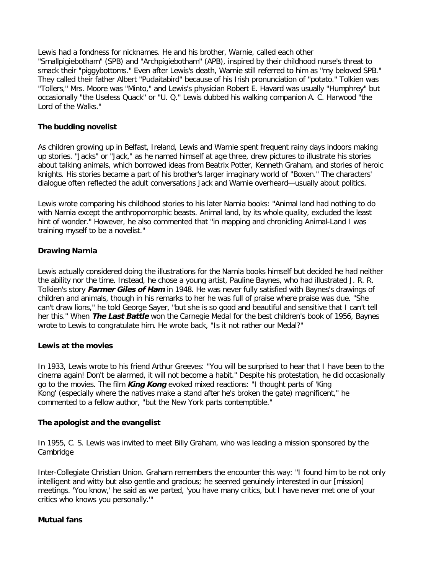Lewis had a fondness for nicknames. He and his brother, Warnie, called each other "Smallpigiebotham" (SPB) and "Archpigiebotham" (APB), inspired by their childhood nurse's threat to smack their "piggybottoms." Even after Lewis's death, Warnie still referred to him as "my beloved SPB." They called their father Albert "Pudaitabird" because of his Irish pronunciation of "potato." Tolkien was "Tollers," Mrs. Moore was "Minto," and Lewis's physician Robert E. Havard was usually "Humphrey" but occasionally "the Useless Quack" or "U. Q." Lewis dubbed his walking companion A. C. Harwood "the Lord of the Walks."

### **The budding novelist**

As children growing up in Belfast, Ireland, Lewis and Warnie spent frequent rainy days indoors making up stories. "Jacks" or "Jack," as he named himself at age three, drew pictures to illustrate his stories about talking animals, which borrowed ideas from Beatrix Potter, Kenneth Graham, and stories of heroic knights. His stories became a part of his brother's larger imaginary world of "Boxen." The characters' dialogue often reflected the adult conversations Jack and Warnie overheard—usually about politics.

Lewis wrote comparing his childhood stories to his later Narnia books: "Animal land had nothing to do with Narnia except the anthropomorphic beasts. Animal land, by its whole quality, excluded the least hint of wonder." However, he also commented that "in mapping and chronicling Animal-Land I was training myself to be a novelist."

### **Drawing Narnia**

Lewis actually considered doing the illustrations for the Narnia books himself but decided he had neither the ability nor the time. Instead, he chose a young artist, Pauline Baynes, who had illustrated J. R. R. Tolkien's story **Farmer Giles of Ham** in 1948. He was never fully satisfied with Baynes's drawings of children and animals, though in his remarks to her he was full of praise where praise was due. "She can't draw lions," he told George Sayer, "but she is so good and beautiful and sensitive that I can't tell her this." When **The Last Battle** won the Carnegie Medal for the best children's book of 1956, Baynes wrote to Lewis to congratulate him. He wrote back, "Is it not rather our Medal?"

### **Lewis at the movies**

In 1933, Lewis wrote to his friend Arthur Greeves: "You will be surprised to hear that I have been to the cinema again! Don't be alarmed, it will not become a habit." Despite his protestation, he did occasionally go to the movies. The film **King Kong** evoked mixed reactions: "I thought parts of 'King Kong' (especially where the natives make a stand after he's broken the gate) magnificent," he commented to a fellow author, "but the New York parts contemptible."

### **The apologist and the evangelist**

In 1955, C. S. Lewis was invited to meet Billy Graham, who was leading a mission sponsored by the Cambridge

Inter-Collegiate Christian Union. Graham remembers the encounter this way: "I found him to be not only intelligent and witty but also gentle and gracious; he seemed genuinely interested in our [mission] meetings. 'You know,' he said as we parted, 'you have many critics, but I have never met one of your critics who knows you personally.'"

### **Mutual fans**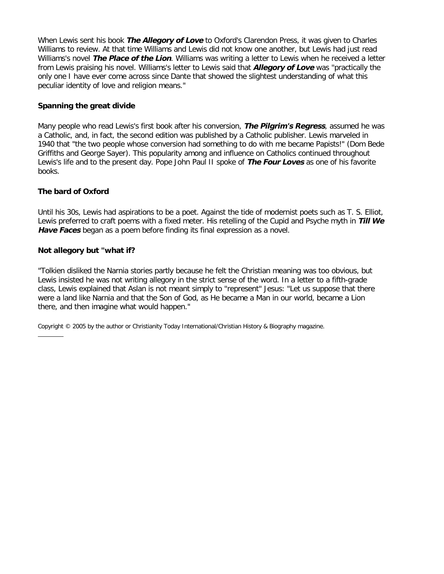When Lewis sent his book **The Allegory of Love** to Oxford's Clarendon Press, it was given to Charles Williams to review. At that time Williams and Lewis did not know one another, but Lewis had just read Williams's novel **The Place of the Lion**. Williams was writing a letter to Lewis when he received a letter from Lewis praising his novel. Williams's letter to Lewis said that **Allegory of Love** was "practically the only one I have ever come across since Dante that showed the slightest understanding of what this peculiar identity of love and religion means."

### **Spanning the great divide**

Many people who read Lewis's first book after his conversion, **The Pilgrim's Regress**, assumed he was a Catholic, and, in fact, the second edition was published by a Catholic publisher. Lewis marveled in 1940 that "the two people whose conversion had something to do with me became Papists!" (Dom Bede Griffiths and George Sayer). This popularity among and influence on Catholics continued throughout Lewis's life and to the present day. Pope John Paul II spoke of **The Four Loves** as one of his favorite books.

### **The bard of Oxford**

Until his 30s, Lewis had aspirations to be a poet. Against the tide of modernist poets such as T. S. Elliot, Lewis preferred to craft poems with a fixed meter. His retelling of the Cupid and Psyche myth in **Till We Have Faces** began as a poem before finding its final expression as a novel.

### **Not allegory but "what if?**

"Tolkien disliked the Narnia stories partly because he felt the Christian meaning was too obvious, but Lewis insisted he was not writing allegory in the strict sense of the word. In a letter to a fifth-grade class, Lewis explained that Aslan is not meant simply to "represent" Jesus: "Let us suppose that there were a land like Narnia and that the Son of God, as He became a Man in our world, became a Lion there, and then imagine what would happen."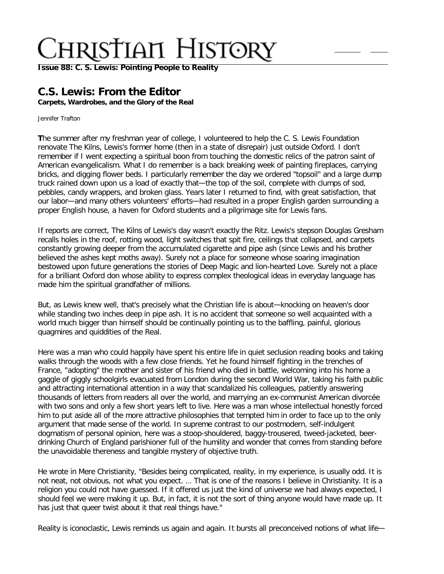**[Issue 88: C. S. Lewis: Pointing People to Reality](http://ctlstaging/ch/cdrom/collection.html?id=2868)**

## **C.S. Lewis: From the Editor**

**Carpets, Wardrobes, and the Glory of the Real**

Jennifer Trafton

**T**he summer after my freshman year of college, I volunteered to help the C. S. Lewis Foundation renovate The Kilns, Lewis's former home (then in a state of disrepair) just outside Oxford. I don't remember if I went expecting a spiritual boon from touching the domestic relics of the patron saint of American evangelicalism. What I do remember is a back breaking week of painting fireplaces, carrying bricks, and digging flower beds. I particularly remember the day we ordered "topsoil" and a large dump truck rained down upon us a load of exactly that—the top of the soil, complete with clumps of sod, pebbles, candy wrappers, and broken glass. Years later I returned to find, with great satisfaction, that our labor—and many others volunteers' efforts—had resulted in a proper English garden surrounding a proper English house, a haven for Oxford students and a pilgrimage site for Lewis fans.

If reports are correct, The Kilns of Lewis's day wasn't exactly the Ritz. Lewis's stepson Douglas Gresham recalls holes in the roof, rotting wood, light switches that spit fire, ceilings that collapsed, and carpets constantly growing deeper from the accumulated cigarette and pipe ash (since Lewis and his brother believed the ashes kept moths away). Surely not a place for someone whose soaring imagination bestowed upon future generations the stories of Deep Magic and lion-hearted Love. Surely not a place for a brilliant Oxford don whose ability to express complex theological ideas in everyday language has made him the spiritual grandfather of millions.

But, as Lewis knew well, that's precisely what the Christian life is about—knocking on heaven's door while standing two inches deep in pipe ash. It is no accident that someone so well acquainted with a world much bigger than himself should be continually pointing us to the baffling, painful, glorious quagmires and quiddities of the Real.

Here was a man who could happily have spent his entire life in quiet seclusion reading books and taking walks through the woods with a few close friends. Yet he found himself fighting in the trenches of France, "adopting" the mother and sister of his friend who died in battle, welcoming into his home a gaggle of giggly schoolgirls evacuated from London during the second World War, taking his faith public and attracting international attention in a way that scandalized his colleagues, patiently answering thousands of letters from readers all over the world, and marrying an ex-communist American divorcée with two sons and only a few short years left to live. Here was a man whose intellectual honestly forced him to put aside all of the more attractive philosophies that tempted him in order to face up to the only argument that made sense of the world. In supreme contrast to our postmodern, self-indulgent dogmatism of personal opinion, here was a stoop-shouldered, baggy-trousered, tweed-jacketed, beerdrinking Church of England parishioner full of the humility and wonder that comes from standing before the unavoidable thereness and tangible mystery of objective truth.

He wrote in Mere Christianity, "Besides being complicated, reality, in my experience, is usually odd. It is not neat, not obvious, not what you expect. … That is one of the reasons I believe in Christianity. It is a religion you could not have guessed. If it offered us just the kind of universe we had always expected, I should feel we were making it up. But, in fact, it is not the sort of thing anyone would have made up. It has just that queer twist about it that real things have."

Reality is iconoclastic, Lewis reminds us again and again. It bursts all preconceived notions of what life—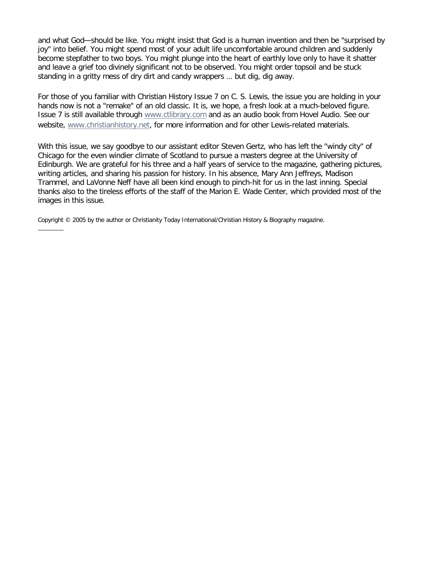and what God—should be like. You might insist that God is a human invention and then be "surprised by joy" into belief. You might spend most of your adult life uncomfortable around children and suddenly become stepfather to two boys. You might plunge into the heart of earthly love only to have it shatter and leave a grief too divinely significant not to be observed. You might order topsoil and be stuck standing in a gritty mess of dry dirt and candy wrappers … but dig, dig away.

For those of you familiar with Christian History Issue 7 on C. S. Lewis, the issue you are holding in your hands now is not a "remake" of an old classic. It is, we hope, a fresh look at a much-beloved figure. Issue 7 is still available through [www.ctlibrary.com](http://www.christianitytoday.com/) and as an audio book from Hovel Audio. See our website, [www.christianhistory.net](http://www.christianhistory.net/), for more information and for other Lewis-related materials.

With this issue, we say goodbye to our assistant editor Steven Gertz, who has left the "windy city" of Chicago for the even windier climate of Scotland to pursue a masters degree at the University of Edinburgh. We are grateful for his three and a half years of service to the magazine, gathering pictures, writing articles, and sharing his passion for history. In his absence, Mary Ann Jeffreys, Madison Trammel, and LaVonne Neff have all been kind enough to pinch-hit for us in the last inning. Special thanks also to the tireless efforts of the staff of the Marion E. Wade Center, which provided most of the images in this issue.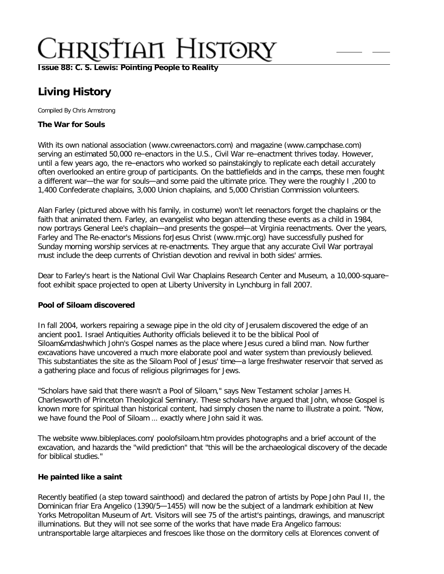**[Issue 88: C. S. Lewis: Pointing People to Reality](http://ctlstaging/ch/cdrom/collection.html?id=2868)**

## **Living History**

Compiled By Chris Armstrong

### **The War for Souls**

With its own national association (www.cwreenactors.com) and magazine (www.campchase.com) serving an estimated 50,000 re–enactors in the U.S., Civil War re–enactment thrives today. However, until a few years ago, the re–enactors who worked so painstakingly to replicate each detail accurately often overlooked an entire group of participants. On the battlefields and in the camps, these men fought a different war—the war for souls—and some paid the ultimate price. They were the roughly I ,200 to 1,400 Confederate chaplains, 3,000 Union chaplains, and 5,000 Christian Commission volunteers.

Alan Farley (pictured above with his family, in costume) won't let reenactors forget the chaplains or the faith that animated them. Farley, an evangelist who began attending these events as a child in 1984, now portrays General Lee's chaplain—and presents the gospel—at Virginia reenactments. Over the years, Farley and The Re-enactor's Missions forJesus Christ (www.rmjc.org) have successfully pushed for Sunday morning worship services at re-enactments. They argue that any accurate Civil War portrayal must include the deep currents of Christian devotion and revival in both sides' armies.

Dear to Farley's heart is the National Civil War Chaplains Research Center and Museum, a 10,000-square– foot exhibit space projected to open at Liberty University in Lynchburg in fall 2007.

### **Pool of Siloam discovered**

In fall 2004, workers repairing a sewage pipe in the old city of Jerusalem discovered the edge of an ancient poo1. Israel Antiquities Authority officials believed it to be the biblical Pool of Siloam&mdashwhich John's Gospel names as the place where Jesus cured a blind man. Now further excavations have uncovered a much more elaborate pool and water system than previously believed. This substantiates the site as the Siloam Pool of Jesus' time—a large freshwater reservoir that served as a gathering place and focus of religious pilgrimages for Jews.

"Scholars have said that there wasn't a Pool of Siloam," says New Testament scholar James H. Charlesworth of Princeton Theological Seminary. These scholars have argued that John, whose Gospel is known more for spiritual than historical content, had simply chosen the name to illustrate a point. "Now, we have found the Pool of Siloam … exactly where John said it was.

The website www.bibleplaces.com/ poolofsiloam.htm provides photographs and a brief account of the excavation, and hazards the "wild prediction" that "this will be the archaeological discovery of the decade for biblical studies."

### **He painted like a saint**

Recently beatified (a step toward sainthood) and declared the patron of artists by Pope John Paul II, the Dominican friar Era Angelico (1390/5—1455) will now be the subject of a landmark exhibition at New Yorks Metropolitan Museum of Art. Visitors will see 75 of the artist's paintings, drawings, and manuscript illuminations. But they will not see some of the works that have made Era Angelico famous: untransportable large altarpieces and frescoes like those on the dormitory cells at Elorences convent of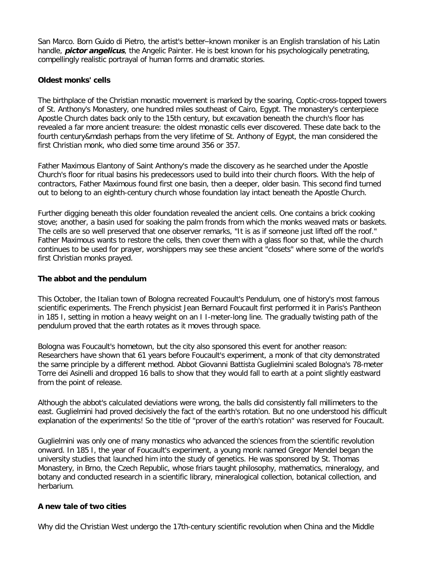San Marco. Born Guido di Pietro, the artist's better–known moniker is an English translation of his Latin handle, **pictor angelicus**, the Angelic Painter. He is best known for his psychologically penetrating, compellingly realistic portrayal of human forms and dramatic stories.

### **Oldest monks' cells**

The birthplace of the Christian monastic movement is marked by the soaring, Coptic-cross-topped towers of St. Anthony's Monastery, one hundred miles southeast of Cairo, Egypt. The monastery's centerpiece Apostle Church dates back only to the 15th century, but excavation beneath the church's floor has revealed a far more ancient treasure: the oldest monastic cells ever discovered. These date back to the fourth century&mdash perhaps from the very lifetime of St. Anthony of Egypt, the man considered the first Christian monk, who died some time around 356 or 357.

Father Maximous Elantony of Saint Anthony's made the discovery as he searched under the Apostle Church's floor for ritual basins his predecessors used to build into their church floors. With the help of contractors, Father Maximous found first one basin, then a deeper, older basin. This second find turned out to belong to an eighth-century church whose foundation lay intact beneath the Apostle Church.

Further digging beneath this older foundation revealed the ancient cells. One contains a brick cooking stove; another, a basin used for soaking the palm fronds from which the monks weaved mats or baskets. The cells are so well preserved that one observer remarks, "It is as if someone just lifted off the roof." Father Maximous wants to restore the cells, then cover them with a glass floor so that, while the church continues to be used for prayer, worshippers may see these ancient "closets" where some of the world's first Christian monks prayed.

### **The abbot and the pendulum**

This October, the Italian town of Bologna recreated Foucault's Pendulum, one of history's most famous scientific experiments. The French physicist Jean Bernard Foucault first performed it in Paris's Pantheon in 185 I, setting in motion a heavy weight on an I I-meter-long line. The gradually twisting path of the pendulum proved that the earth rotates as it moves through space.

Bologna was Foucault's hometown, but the city also sponsored this event for another reason: Researchers have shown that 61 years before Foucault's experiment, a monk of that city demonstrated the same principle by a different method. Abbot Giovanni Battista Guglielmini scaled Bologna's 78-meter Torre dei Asinelli and dropped 16 balls to show that they would fall to earth at a point slightly eastward from the point of release.

Although the abbot's calculated deviations were wrong, the balls did consistently fall millimeters to the east. Guglielmini had proved decisively the fact of the earth's rotation. But no one understood his difficult explanation of the experiments! So the title of "prover of the earth's rotation" was reserved for Foucault.

Guglielmini was only one of many monastics who advanced the sciences from the scientific revolution onward. In 185 I, the year of Foucault's experiment, a young monk named Gregor Mendel began the university studies that launched him into the study of genetics. He was sponsored by St. Thomas Monastery, in Brno, the Czech Republic, whose friars taught philosophy, mathematics, mineralogy, and botany and conducted research in a scientific library, mineralogical collection, botanical collection, and herbarium.

### **A new tale of two cities**

Why did the Christian West undergo the 17th-century scientific revolution when China and the Middle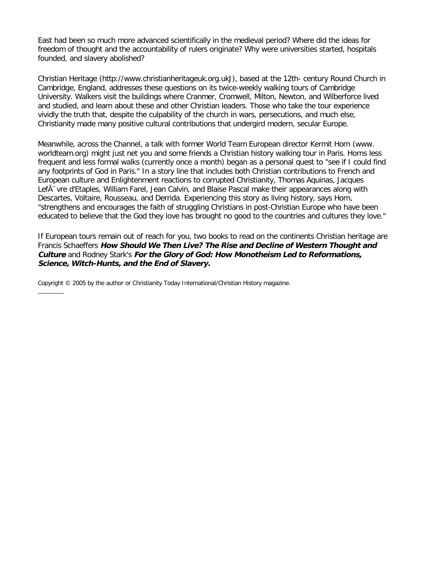East had been so much more advanced scientifically in the medieval period? Where did the ideas for freedom of thought and the accountability of rulers originate? Why were universities started, hospitals founded, and slavery abolished?

Christian Heritage (http://www.christianheritageuk.org.ukJ), based at the 12th- century Round Church in Cambridge, England, addresses these questions on its twice-weekly walking tours of Cambridge University. Walkers visit the buildings where Cranmer, Cromwell, Milton, Newton, and Wilberforce lived and studied, and learn about these and other Christian leaders. Those who take the tour experience vividly the truth that, despite the culpability of the church in wars, persecutions, and much else, Christianity made many positive cultural contributions that undergird modern, secular Europe.

Meanwhile, across the Channel, a talk with former World Team European director Kermit Horn (www. worldteam.org) might just net you and some friends a Christian history walking tour in Paris. Horns less frequent and less formal walks (currently once a month) began as a personal quest to "see if I could find any footprints of God in Paris." In a story line that includes both Christian contributions to French and European culture and Enlightenment reactions to corrupted Christianity, Thomas Aquinas, Jacques Lef $\tilde{A}$  vre d'Etaples, William Farel, Jean Calvin, and Blaise Pascal make their appearances along with Descartes, Voltaire, Rousseau, and Derrida. Experiencing this story as living history, says Horn, "strengthens and encourages the faith of struggling Christians in post-Christian Europe who have been educated to believe that the God they love has brought no good to the countries and cultures they love."

If European tours remain out of reach for you, two books to read on the continents Christian heritage are Francis Schaeffers **How Should We Then Live? The Rise and Decline of Western Thought and Culture** and Rodney Stark's **For the Glory of God: How Monotheism Led to Reformations, Science, Witch-Hunts, and the End of Slavery.**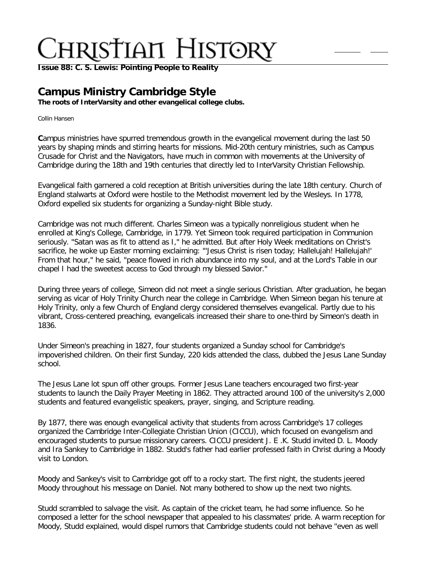**[Issue 88: C. S. Lewis: Pointing People to Reality](http://ctlstaging/ch/cdrom/collection.html?id=2868)**

## **Campus Ministry Cambridge Style**

**The roots of InterVarsity and other evangelical college clubs.**

Collin Hansen

**C**ampus ministries have spurred tremendous growth in the evangelical movement during the last 50 years by shaping minds and stirring hearts for missions. Mid-20th century ministries, such as Campus Crusade for Christ and the Navigators, have much in common with movements at the University of Cambridge during the 18th and 19th centuries that directly led to InterVarsity Christian Fellowship.

Evangelical faith garnered a cold reception at British universities during the late 18th century. Church of England stalwarts at Oxford were hostile to the Methodist movement led by the Wesleys. In 1778, Oxford expelled six students for organizing a Sunday-night Bible study.

Cambridge was not much different. Charles Simeon was a typically nonreligious student when he enrolled at King's College, Cambridge, in 1779. Yet Simeon took required participation in Communion seriously. "Satan was as fit to attend as I," he admitted. But after Holy Week meditations on Christ's sacrifice, he woke up Easter morning exclaiming: "'Jesus Christ is risen today; Hallelujah! Hallelujah!' From that hour," he said, "peace flowed in rich abundance into my soul, and at the Lord's Table in our chapel I had the sweetest access to God through my blessed Savior."

During three years of college, Simeon did not meet a single serious Christian. After graduation, he began serving as vicar of Holy Trinity Church near the college in Cambridge. When Simeon began his tenure at Holy Trinity, only a few Church of England clergy considered themselves evangelical. Partly due to his vibrant, Cross-centered preaching, evangelicals increased their share to one-third by Simeon's death in 1836.

Under Simeon's preaching in 1827, four students organized a Sunday school for Cambridge's impoverished children. On their first Sunday, 220 kids attended the class, dubbed the Jesus Lane Sunday school.

The Jesus Lane lot spun off other groups. Former Jesus Lane teachers encouraged two first-year students to launch the Daily Prayer Meeting in 1862. They attracted around 100 of the university's 2,000 students and featured evangelistic speakers, prayer, singing, and Scripture reading.

By 1877, there was enough evangelical activity that students from across Cambridge's 17 colleges organized the Cambridge Inter-Collegiate Christian Union (CICCU), which focused on evangelism and encouraged students to pursue missionary careers. CICCU president J. E .K. Studd invited D. L. Moody and Ira Sankey to Cambridge in 1882. Studd's father had earlier professed faith in Christ during a Moody visit to London.

Moody and Sankey's visit to Cambridge got off to a rocky start. The first night, the students jeered Moody throughout his message on Daniel. Not many bothered to show up the next two nights.

Studd scrambled to salvage the visit. As captain of the cricket team, he had some influence. So he composed a letter for the school newspaper that appealed to his classmates' pride. A warm reception for Moody, Studd explained, would dispel rumors that Cambridge students could not behave "even as well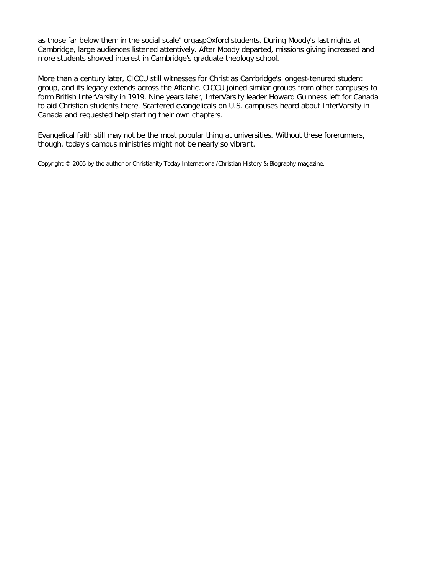as those far below them in the social scale" or gasp Oxford students. During Moody's last nights at Cambridge, large audiences listened attentively. After Moody departed, missions giving increased and more students showed interest in Cambridge's graduate theology school.

More than a century later, CICCU still witnesses for Christ as Cambridge's longest-tenured student group, and its legacy extends across the Atlantic. CICCU joined similar groups from other campuses to form British InterVarsity in 1919. Nine years later, InterVarsity leader Howard Guinness left for Canada to aid Christian students there. Scattered evangelicals on U.S. campuses heard about InterVarsity in Canada and requested help starting their own chapters.

Evangelical faith still may not be the most popular thing at universities. Without these forerunners, though, today's campus ministries might not be nearly so vibrant.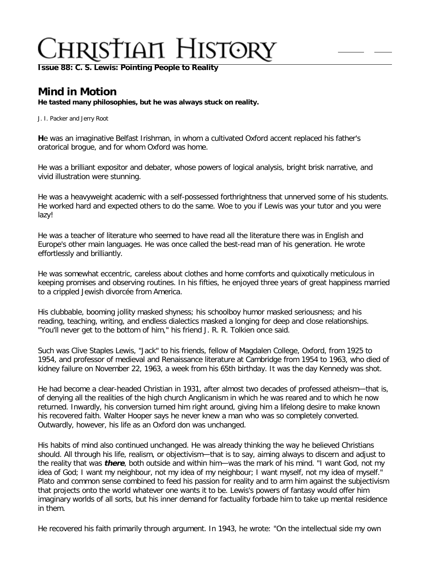**[Issue 88: C. S. Lewis: Pointing People to Reality](http://ctlstaging/ch/cdrom/collection.html?id=2868)**

## **Mind in Motion**

**He tasted many philosophies, but he was always stuck on reality.**

J. I. Packer and Jerry Root

**H**e was an imaginative Belfast Irishman, in whom a cultivated Oxford accent replaced his father's oratorical brogue, and for whom Oxford was home.

He was a brilliant expositor and debater, whose powers of logical analysis, bright brisk narrative, and vivid illustration were stunning.

He was a heavyweight academic with a self-possessed forthrightness that unnerved some of his students. He worked hard and expected others to do the same. Woe to you if Lewis was your tutor and you were lazy!

He was a teacher of literature who seemed to have read all the literature there was in English and Europe's other main languages. He was once called the best-read man of his generation. He wrote effortlessly and brilliantly.

He was somewhat eccentric, careless about clothes and home comforts and quixotically meticulous in keeping promises and observing routines. In his fifties, he enjoyed three years of great happiness married to a crippled Jewish divorcée from America.

His clubbable, booming jollity masked shyness; his schoolboy humor masked seriousness; and his reading, teaching, writing, and endless dialectics masked a longing for deep and close relationships. "You'll never get to the bottom of him," his friend J. R. R. Tolkien once said.

Such was Clive Staples Lewis, "Jack" to his friends, fellow of Magdalen College, Oxford, from 1925 to 1954, and professor of medieval and Renaissance literature at Cambridge from 1954 to 1963, who died of kidney failure on November 22, 1963, a week from his 65th birthday. It was the day Kennedy was shot.

He had become a clear-headed Christian in 1931, after almost two decades of professed atheism—that is, of denying all the realities of the high church Anglicanism in which he was reared and to which he now returned. Inwardly, his conversion turned him right around, giving him a lifelong desire to make known his recovered faith. Walter Hooper says he never knew a man who was so completely converted. Outwardly, however, his life as an Oxford don was unchanged.

His habits of mind also continued unchanged. He was already thinking the way he believed Christians should. All through his life, realism, or objectivism—that is to say, aiming always to discern and adjust to the reality that was **there**, both outside and within him—was the mark of his mind. "I want God, not my idea of God; I want my neighbour, not my idea of my neighbour; I want myself, not my idea of myself." Plato and common sense combined to feed his passion for reality and to arm him against the subjectivism that projects onto the world whatever one wants it to be. Lewis's powers of fantasy would offer him imaginary worlds of all sorts, but his inner demand for factuality forbade him to take up mental residence in them.

He recovered his faith primarily through argument. In 1943, he wrote: "On the intellectual side my own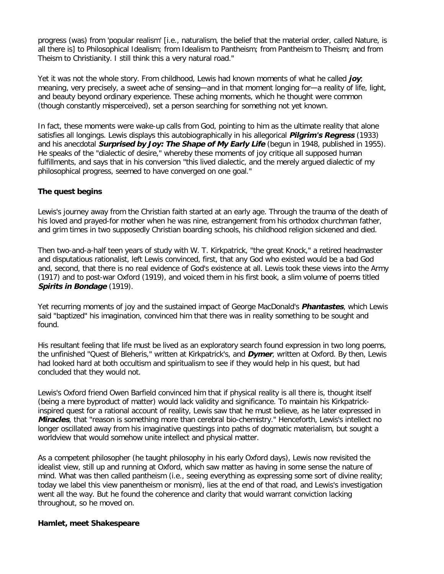progress (was) from 'popular realism' [i.e., naturalism, the belief that the material order, called Nature, is all there is] to Philosophical Idealism; from Idealism to Pantheism; from Pantheism to Theism; and from Theism to Christianity. I still think this a very natural road."

Yet it was not the whole story. From childhood, Lewis had known moments of what he called **joy**; meaning, very precisely, a sweet ache of sensing—and in that moment longing for—a reality of life, light, and beauty beyond ordinary experience. These aching moments, which he thought were common (though constantly misperceived), set a person searching for something not yet known.

In fact, these moments were wake-up calls from God, pointing to him as the ultimate reality that alone satisfies all longings. Lewis displays this autobiographically in his allegorical **Pilgrim's Regress** (1933) and his anecdotal **Surprised by Joy: The Shape of My Early Life** (begun in 1948, published in 1955). He speaks of the "dialectic of desire," whereby these moments of joy critique all supposed human fulfillments, and says that in his conversion "this lived dialectic, and the merely argued dialectic of my philosophical progress, seemed to have converged on one goal."

### **The quest begins**

Lewis's journey away from the Christian faith started at an early age. Through the trauma of the death of his loved and prayed-for mother when he was nine, estrangement from his orthodox churchman father, and grim times in two supposedly Christian boarding schools, his childhood religion sickened and died.

Then two-and-a-half teen years of study with W. T. Kirkpatrick, "the great Knock," a retired headmaster and disputatious rationalist, left Lewis convinced, first, that any God who existed would be a bad God and, second, that there is no real evidence of God's existence at all. Lewis took these views into the Army (1917) and to post-war Oxford (1919), and voiced them in his first book, a slim volume of poems titled **Spirits in Bondage** (1919).

Yet recurring moments of joy and the sustained impact of George MacDonald's **Phantastes**, which Lewis said "baptized" his imagination, convinced him that there was in reality something to be sought and found.

His resultant feeling that life must be lived as an exploratory search found expression in two long poems, the unfinished "Quest of Bleheris," written at Kirkpatrick's, and **Dymer**, written at Oxford. By then, Lewis had looked hard at both occultism and spiritualism to see if they would help in his quest, but had concluded that they would not.

Lewis's Oxford friend Owen Barfield convinced him that if physical reality is all there is, thought itself (being a mere byproduct of matter) would lack validity and significance. To maintain his Kirkpatrickinspired quest for a rational account of reality, Lewis saw that he must believe, as he later expressed in **Miracles**, that "reason is something more than cerebral bio-chemistry." Henceforth, Lewis's intellect no longer oscillated away from his imaginative questings into paths of dogmatic materialism, but sought a worldview that would somehow unite intellect and physical matter.

As a competent philosopher (he taught philosophy in his early Oxford days), Lewis now revisited the idealist view, still up and running at Oxford, which saw matter as having in some sense the nature of mind. What was then called pantheism (i.e., seeing everything as expressing some sort of divine reality; today we label this view panentheism or monism), lies at the end of that road, and Lewis's investigation went all the way. But he found the coherence and clarity that would warrant conviction lacking throughout, so he moved on.

### **Hamlet, meet Shakespeare**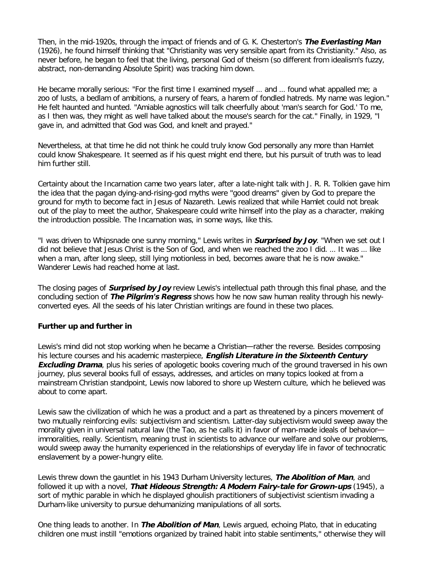Then, in the mid-1920s, through the impact of friends and of G. K. Chesterton's **The Everlasting Man** (1926), he found himself thinking that "Christianity was very sensible apart from its Christianity." Also, as never before, he began to feel that the living, personal God of theism (so different from idealism's fuzzy, abstract, non-demanding Absolute Spirit) was tracking him down.

He became morally serious: "For the first time I examined myself … and … found what appalled me; a zoo of lusts, a bedlam of ambitions, a nursery of fears, a harem of fondled hatreds. My name was legion." He felt haunted and hunted. "Amiable agnostics will talk cheerfully about 'man's search for God.' To me, as I then was, they might as well have talked about the mouse's search for the cat." Finally, in 1929, "I gave in, and admitted that God was God, and knelt and prayed."

Nevertheless, at that time he did not think he could truly know God personally any more than Hamlet could know Shakespeare. It seemed as if his quest might end there, but his pursuit of truth was to lead him further still.

Certainty about the Incarnation came two years later, after a late-night talk with J. R. R. Tolkien gave him the idea that the pagan dying-and-rising-god myths were "good dreams" given by God to prepare the ground for myth to become fact in Jesus of Nazareth. Lewis realized that while Hamlet could not break out of the play to meet the author, Shakespeare could write himself into the play as a character, making the introduction possible. The Incarnation was, in some ways, like this.

"I was driven to Whipsnade one sunny morning," Lewis writes in **Surprised by Joy**. "When we set out I did not believe that Jesus Christ is the Son of God, and when we reached the zoo I did. … It was … like when a man, after long sleep, still lying motionless in bed, becomes aware that he is now awake." Wanderer Lewis had reached home at last.

The closing pages of **Surprised by Joy** review Lewis's intellectual path through this final phase, and the concluding section of **The Pilgrim's Regress** shows how he now saw human reality through his newlyconverted eyes. All the seeds of his later Christian writings are found in these two places.

### **Further up and further in**

Lewis's mind did not stop working when he became a Christian—rather the reverse. Besides composing his lecture courses and his academic masterpiece, **English Literature in the Sixteenth Century Excluding Drama**, plus his series of apologetic books covering much of the ground traversed in his own journey, plus several books full of essays, addresses, and articles on many topics looked at from a mainstream Christian standpoint, Lewis now labored to shore up Western culture, which he believed was about to come apart.

Lewis saw the civilization of which he was a product and a part as threatened by a pincers movement of two mutually reinforcing evils: subjectivism and scientism. Latter-day subjectivism would sweep away the morality given in universal natural law (the Tao, as he calls it) in favor of man-made ideals of behavior immoralities, really. Scientism, meaning trust in scientists to advance our welfare and solve our problems, would sweep away the humanity experienced in the relationships of everyday life in favor of technocratic enslavement by a power-hungry elite.

Lewis threw down the gauntlet in his 1943 Durham University lectures, **The Abolition of Man**, and followed it up with a novel, **That Hideous Strength: A Modern Fairy-tale for Grown-ups** (1945), a sort of mythic parable in which he displayed ghoulish practitioners of subjectivist scientism invading a Durham-like university to pursue dehumanizing manipulations of all sorts.

One thing leads to another. In **The Abolition of Man**, Lewis argued, echoing Plato, that in educating children one must instill "emotions organized by trained habit into stable sentiments," otherwise they will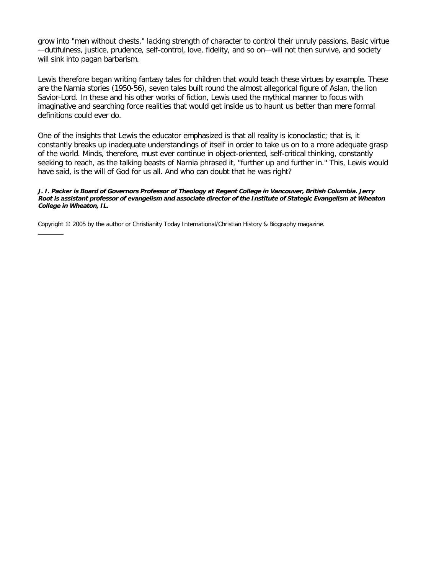grow into "men without chests," lacking strength of character to control their unruly passions. Basic virtue —dutifulness, justice, prudence, self-control, love, fidelity, and so on—will not then survive, and society will sink into pagan barbarism.

Lewis therefore began writing fantasy tales for children that would teach these virtues by example. These are the Narnia stories (1950-56), seven tales built round the almost allegorical figure of Aslan, the lion Savior-Lord. In these and his other works of fiction, Lewis used the mythical manner to focus with imaginative and searching force realities that would get inside us to haunt us better than mere formal definitions could ever do.

One of the insights that Lewis the educator emphasized is that all reality is iconoclastic; that is, it constantly breaks up inadequate understandings of itself in order to take us on to a more adequate grasp of the world. Minds, therefore, must ever continue in object-oriented, self-critical thinking, constantly seeking to reach, as the talking beasts of Narnia phrased it, "further up and further in." This, Lewis would have said, is the will of God for us all. And who can doubt that he was right?

#### **J. I. Packer is Board of Governors Professor of Theology at Regent College in Vancouver, British Columbia. Jerry Root is assistant professor of evangelism and associate director of the Institute of Stategic Evangelism at Wheaton College in Wheaton, IL.**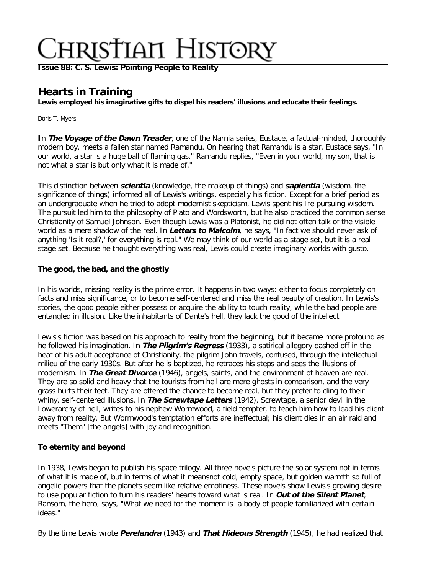**[Issue 88: C. S. Lewis: Pointing People to Reality](http://ctlstaging/ch/cdrom/collection.html?id=2868)**

## **Hearts in Training**

**Lewis employed his imaginative gifts to dispel his readers' illusions and educate their feelings.**

Doris T. Myers

**I**n **The Voyage of the Dawn Treader**, one of the Narnia series, Eustace, a factual-minded, thoroughly modern boy, meets a fallen star named Ramandu. On hearing that Ramandu is a star, Eustace says, "In our world, a star is a huge ball of flaming gas." Ramandu replies, "Even in your world, my son, that is not what a star is but only what it is made of."

This distinction between **scientia** (knowledge, the makeup of things) and **sapientia** (wisdom, the significance of things) informed all of Lewis's writings, especially his fiction. Except for a brief period as an undergraduate when he tried to adopt modernist skepticism, Lewis spent his life pursuing wisdom. The pursuit led him to the philosophy of Plato and Wordsworth, but he also practiced the common sense Christianity of Samuel Johnson. Even though Lewis was a Platonist, he did not often talk of the visible world as a mere shadow of the real. In **Letters to Malcolm**, he says, "In fact we should never ask of anything 'Is it real?,' for everything is real." We may think of our world as a stage set, but it is a real stage set. Because he thought everything was real, Lewis could create imaginary worlds with gusto.

### **The good, the bad, and the ghostly**

In his worlds, missing reality is the prime error. It happens in two ways: either to focus completely on facts and miss significance, or to become self-centered and miss the real beauty of creation. In Lewis's stories, the good people either possess or acquire the ability to touch reality, while the bad people are entangled in illusion. Like the inhabitants of Dante's hell, they lack the good of the intellect.

Lewis's fiction was based on his approach to reality from the beginning, but it became more profound as he followed his imagination. In **The Pilgrim's Regress** (1933), a satirical allegory dashed off in the heat of his adult acceptance of Christianity, the pilgrim John travels, confused, through the intellectual milieu of the early 1930s. But after he is baptized, he retraces his steps and sees the illusions of modernism. In **The Great Divorce** (1946), angels, saints, and the environment of heaven are real. They are so solid and heavy that the tourists from hell are mere ghosts in comparison, and the very grass hurts their feet. They are offered the chance to become real, but they prefer to cling to their whiny, self-centered illusions. In **The Screwtape Letters** (1942), Screwtape, a senior devil in the Lowerarchy of hell, writes to his nephew Wormwood, a field tempter, to teach him how to lead his client away from reality. But Wormwood's temptation efforts are ineffectual; his client dies in an air raid and meets "Them" [the angels] with joy and recognition.

### **To eternity and beyond**

In 1938, Lewis began to publish his space trilogy. All three novels picture the solar system not in terms of what it is made of, but in terms of what it means not cold, empty space, but golden warmth so full of angelic powers that the planets seem like relative emptiness. These novels show Lewis's growing desire to use popular fiction to turn his readers' hearts toward what is real. In **Out of the Silent Planet**, Ransom, the hero, says, "What we need for the moment is  $\lambda$  a body of people familiarized with certain ideas."

By the time Lewis wrote **Perelandra** (1943) and **That Hideous Strength** (1945), he had realized that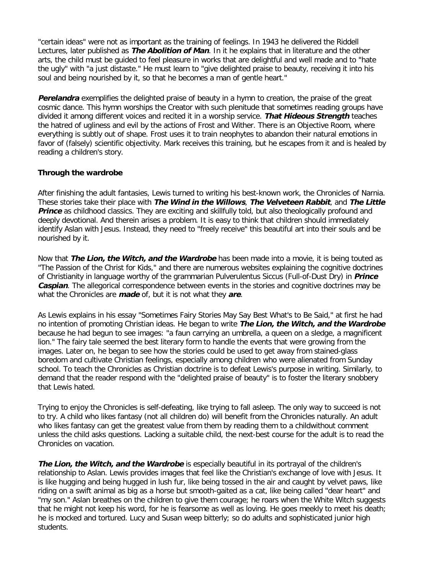"certain ideas" were not as important as the training of feelings. In 1943 he delivered the Riddell Lectures, later published as **The Abolition of Man**. In it he explains that in literature and the other arts, the child must be guided to feel pleasure in works that are delightful and well made and to "hate the ugly" with "a just distaste." He must learn to "give delighted praise to beauty, receiving it into his soul and being nourished by it, so that he becomes a man of gentle heart."

**Perelandra** exemplifies the delighted praise of beauty in a hymn to creation, the praise of the great cosmic dance. This hymn worships the Creator with such plenitude that sometimes reading groups have divided it among different voices and recited it in a worship service. **That Hideous Strength** teaches the hatred of ugliness and evil by the actions of Frost and Wither. There is an Objective Room, where everything is subtly out of shape. Frost uses it to train neophytes to abandon their natural emotions in favor of (falsely) scientific objectivity. Mark receives this training, but he escapes from it and is healed by reading a children's story.

### **Through the wardrobe**

After finishing the adult fantasies, Lewis turned to writing his best-known work, the Chronicles of Narnia. These stories take their place with **The Wind in the Willows**, **The Velveteen Rabbit**, and **The Little Prince** as childhood classics. They are exciting and skillfully told, but also theologically profound and deeply devotional. And therein arises a problem. It is easy to think that children should immediately identify Aslan with Jesus. Instead, they need to "freely receive" this beautiful art into their souls and be nourished by it.

Now that **The Lion, the Witch, and the Wardrobe** has been made into a movie, it is being touted as "The Passion of the Christ for Kids," and there are numerous websites explaining the cognitive doctrines of Christianity in language worthy of the grammarian Pulverulentus Siccus (Full-of-Dust Dry) in **Prince Caspian**. The allegorical correspondence between events in the stories and cognitive doctrines may be what the Chronicles are **made** of, but it is not what they **are**.

As Lewis explains in his essay "Sometimes Fairy Stories May Say Best What's to Be Said," at first he had no intention of promoting Christian ideas. He began to write **The Lion, the Witch, and the Wardrobe** because he had begun to see images: "a faun carrying an umbrella, a queen on a sledge, a magnificent lion." The fairy tale seemed the best literary form to handle the events that were growing from the images. Later on, he began to see how the stories could be used to get away from stained-glass boredom and cultivate Christian feelings, especially among children who were alienated from Sunday school. To teach the Chronicles as Christian doctrine is to defeat Lewis's purpose in writing. Similarly, to demand that the reader respond with the "delighted praise of beauty" is to foster the literary snobbery that Lewis hated.

Trying to enjoy the Chronicles is self-defeating, like trying to fall asleep. The only way to succeed is not to try. A child who likes fantasy (not all children do) will benefit from the Chronicles naturally. An adult who likes fantasy can get the greatest value from them by reading them to a child without comment unless the child asks questions. Lacking a suitable child, the next-best course for the adult is to read the Chronicles on vacation.

**The Lion, the Witch, and the Wardrobe** is especially beautiful in its portrayal of the children's relationship to Aslan. Lewis provides images that feel like the Christian's exchange of love with Jesus. It is like hugging and being hugged in lush fur, like being tossed in the air and caught by velvet paws, like riding on a swift animal as big as a horse but smooth-gaited as a cat, like being called "dear heart" and "my son." Aslan breathes on the children to give them courage; he roars when the White Witch suggests that he might not keep his word, for he is fearsome as well as loving. He goes meekly to meet his death; he is mocked and tortured. Lucy and Susan weep bitterly; so do adults and sophisticated junior high students.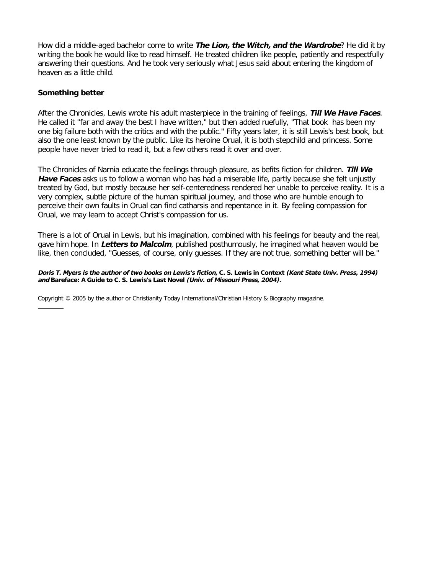How did a middle-aged bachelor come to write **The Lion, the Witch, and the Wardrobe**? He did it by writing the book he would like to read himself. He treated children like people, patiently and respectfully answering their questions. And he took very seriously what Jesus said about entering the kingdom of heaven as a little child.

### **Something better**

After the Chronicles, Lewis wrote his adult masterpiece in the training of feelings, **Till We Have Faces**. He called it "far and away the best I have written," but then added ruefully, "That book ) has been my one big failure both with the critics and with the public." Fifty years later, it is still Lewis's best book, but also the one least known by the public. Like its heroine Orual, it is both stepchild and princess. Some people have never tried to read it, but a few others read it over and over.

The Chronicles of Narnia educate the feelings through pleasure, as befits fiction for children. **Till We Have Faces** asks us to follow a woman who has had a miserable life, partly because she felt unjustly treated by God, but mostly because her self-centeredness rendered her unable to perceive reality. It is a very complex, subtle picture of the human spiritual journey, and those who are humble enough to perceive their own faults in Orual can find catharsis and repentance in it. By feeling compassion for Orual, we may learn to accept Christ's compassion for us.

There is a lot of Orual in Lewis, but his imagination, combined with his feelings for beauty and the real, gave him hope. In **Letters to Malcolm**, published posthumously, he imagined what heaven would be like, then concluded, "Guesses, of course, only guesses. If they are not true, something better will be."

**Doris T. Myers is the author of two books on Lewis's fiction, C. S. Lewis in Context (Kent State Univ. Press, 1994) and Bareface: A Guide to C. S. Lewis's Last Novel (Univ. of Missouri Press, 2004).**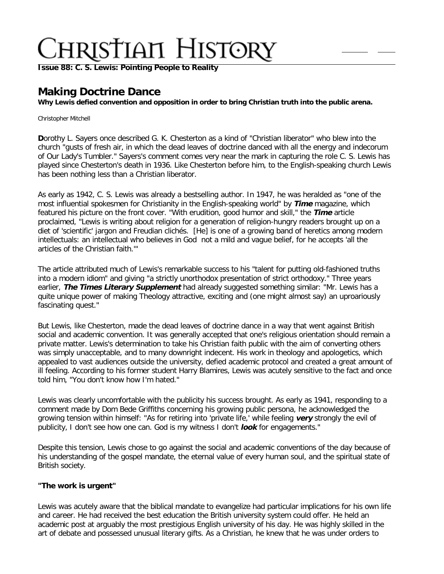**[Issue 88: C. S. Lewis: Pointing People to Reality](http://ctlstaging/ch/cdrom/collection.html?id=2868)**

## **Making Doctrine Dance**

**Why Lewis defied convention and opposition in order to bring Christian truth into the public arena.**

Christopher Mitchell

**D**orothy L. Sayers once described G. K. Chesterton as a kind of "Christian liberator" who blew into the church "gusts of fresh air, in which the dead leaves of doctrine danced with all the energy and indecorum of Our Lady's Tumbler." Sayers's comment comes very near the mark in capturing the role C. S. Lewis has played since Chesterton's death in 1936. Like Chesterton before him, to the English-speaking church Lewis has been nothing less than a Christian liberator.

As early as 1942, C. S. Lewis was already a bestselling author. In 1947, he was heralded as "one of the most influential spokesmen for Christianity in the English-speaking world" by **Time** magazine, which featured his picture on the front cover. "With erudition, good humor and skill," the **Time** article proclaimed, "Lewis is writing about religion for a generation of religion-hungry readers brought up on a diet of 'scientific' jargon and Freudian clichés. I [He] is one of a growing band of heretics among modern intellectuals: an intellectual who believes in God I not a mild and vague belief, for he accepts 'all the articles of the Christian faith.'"

The article attributed much of Lewis's remarkable success to his "talent for putting old-fashioned truths into a modern idiom" and giving "a strictly unorthodox presentation of strict orthodoxy." Three years earlier, **The Times Literary Supplement** had already suggested something similar: "Mr. Lewis has a quite unique power of making Theology attractive, exciting and (one might almost say) an uproariously fascinating quest."

But Lewis, like Chesterton, made the dead leaves of doctrine dance in a way that went against British social and academic convention. It was generally accepted that one's religious orientation should remain a private matter. Lewis's determination to take his Christian faith public with the aim of converting others was simply unacceptable, and to many downright indecent. His work in theology and apologetics, which appealed to vast audiences outside the university, defied academic protocol and created a great amount of ill feeling. According to his former student Harry Blamires, Lewis was acutely sensitive to the fact and once told him, "You don't know how I'm hated."

Lewis was clearly uncomfortable with the publicity his success brought. As early as 1941, responding to a comment made by Dom Bede Griffiths concerning his growing public persona, he acknowledged the growing tension within himself: "As for retiring into 'private life,' while feeling **very** strongly the evil of publicity, I don't see how one can. God is my witness I don't **look** for engagements."

Despite this tension, Lewis chose to go against the social and academic conventions of the day because of his understanding of the gospel mandate, the eternal value of every human soul, and the spiritual state of British society.

### **"The work is urgent"**

Lewis was acutely aware that the biblical mandate to evangelize had particular implications for his own life and career. He had received the best education the British university system could offer. He held an academic post at arguably the most prestigious English university of his day. He was highly skilled in the art of debate and possessed unusual literary gifts. As a Christian, he knew that he was under orders to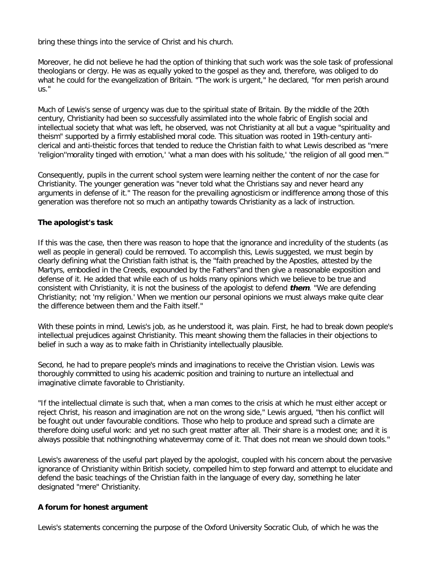bring these things into the service of Christ and his church.

Moreover, he did not believe he had the option of thinking that such work was the sole task of professional theologians or clergy. He was as equally yoked to the gospel as they and, therefore, was obliged to do what he could for the evangelization of Britain. "The work is urgent," he declared, "for men perish around us."

Much of Lewis's sense of urgency was due to the spiritual state of Britain. By the middle of the 20th century, Christianity had been so successfully assimilated into the whole fabric of English social and intellectual society that what was left, he observed, was not Christianity at all but a vague "spirituality and theism" supported by a firmly established moral code. This situation was rooted in 19th-century anticlerical and anti-theistic forces that tended to reduce the Christian faith to what Lewis described as "mere 'religion' 'morality tinged with emotion,' 'what a man does with his solitude,' 'the religion of all good men.'"

Consequently, pupils in the current school system were learning neither the content of nor the case for Christianity. The younger generation was "never told what the Christians say and never heard any arguments in defense of it." The reason for the prevailing agnosticism or indifference among those of this generation was therefore not so much an antipathy towards Christianity as a lack of instruction.

### **The apologist's task**

If this was the case, then there was reason to hope that the ignorance and incredulity of the students (as well as people in general) could be removed. To accomplish this, Lewis suggested, we must begin by clearly defining what the Christian faith is that is, the "faith preached by the Apostles, attested by the Martyrs, embodied in the Creeds, expounded by the Fathers" and then give a reasonable exposition and defense of it. He added that while each of us holds many opinions which we believe to be true and consistent with Christianity, it is not the business of the apologist to defend **them**. "We are defending Christianity; not 'my religion.' When we mention our personal opinions we must always make quite clear the difference between them and the Faith itself."

With these points in mind, Lewis's job, as he understood it, was plain. First, he had to break down people's intellectual prejudices against Christianity. This meant showing them the fallacies in their objections to belief in such a way as to make faith in Christianity intellectually plausible.

Second, he had to prepare people's minds and imaginations to receive the Christian vision. Lewis was thoroughly committed to using his academic position and training to nurture an intellectual and imaginative climate favorable to Christianity.

"If the intellectual climate is such that, when a man comes to the crisis at which he must either accept or reject Christ, his reason and imagination are not on the wrong side," Lewis argued, "then his conflict will be fought out under favourable conditions. Those who help to produce and spread such a climate are therefore doing useful work: and yet no such great matter after all. Their share is a modest one; and it is always possible that nothing nothing whatever may come of it. That does not mean we should down tools."

Lewis's awareness of the useful part played by the apologist, coupled with his concern about the pervasive ignorance of Christianity within British society, compelled him to step forward and attempt to elucidate and defend the basic teachings of the Christian faith in the language of every day, something he later designated "mere" Christianity.

### **A forum for honest argument**

Lewis's statements concerning the purpose of the Oxford University Socratic Club, of which he was the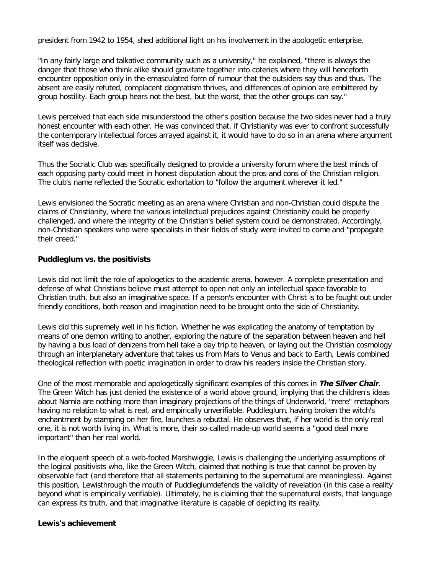president from 1942 to 1954, shed additional light on his involvement in the apologetic enterprise.

"In any fairly large and talkative community such as a university," he explained, "there is always the danger that those who think alike should gravitate together into coteries where they will henceforth encounter opposition only in the emasculated form of rumour that the outsiders say thus and thus. The absent are easily refuted, complacent dogmatism thrives, and differences of opinion are embittered by group hostility. Each group hears not the best, but the worst, that the other groups can say."

Lewis perceived that each side misunderstood the other's position because the two sides never had a truly honest encounter with each other. He was convinced that, if Christianity was ever to confront successfully the contemporary intellectual forces arrayed against it, it would have to do so in an arena where argument itself was decisive.

Thus the Socratic Club was specifically designed to provide a university forum where the best minds of each opposing party could meet in honest disputation about the pros and cons of the Christian religion. The club's name reflected the Socratic exhortation to "follow the argument wherever it led."

Lewis envisioned the Socratic meeting as an arena where Christian and non-Christian could dispute the claims of Christianity, where the various intellectual prejudices against Christianity could be properly challenged, and where the integrity of the Christian's belief system could be demonstrated. Accordingly, non-Christian speakers who were specialists in their fields of study were invited to come and "propagate their creed."

### **Puddleglum vs. the positivists**

Lewis did not limit the role of apologetics to the academic arena, however. A complete presentation and defense of what Christians believe must attempt to open not only an intellectual space favorable to Christian truth, but also an imaginative space. If a person's encounter with Christ is to be fought out under friendly conditions, both reason and imagination need to be brought onto the side of Christianity.

Lewis did this supremely well in his fiction. Whether he was explicating the anatomy of temptation by means of one demon writing to another, exploring the nature of the separation between heaven and hell by having a bus load of denizens from hell take a day trip to heaven, or laying out the Christian cosmology through an interplanetary adventure that takes us from Mars to Venus and back to Earth, Lewis combined theological reflection with poetic imagination in order to draw his readers inside the Christian story.

One of the most memorable and apologetically significant examples of this comes in **The Silver Chair**. The Green Witch has just denied the existence of a world above ground, implying that the children's ideas about Narnia are nothing more than imaginary projections of the things of Underworld, "mere" metaphors having no relation to what is real, and empirically unverifiable. Puddleglum, having broken the witch's enchantment by stamping on her fire, launches a rebuttal. He observes that, if her world is the only real one, it is not worth living in. What is more, their so-called made-up world seems a "good deal more important" than her real world.

In the eloquent speech of a web-footed Marshwiggle, Lewis is challenging the underlying assumptions of the logical positivists who, like the Green Witch, claimed that nothing is true that cannot be proven by observable fact (and therefore that all statements pertaining to the supernatural are meaningless). Against this position, Lewis through the mouth of Puddleglum defends the validity of revelation (in this case a reality beyond what is empirically verifiable). Ultimately, he is claiming that the supernatural exists, that language can express its truth, and that imaginative literature is capable of depicting its reality.

### **Lewis's achievement**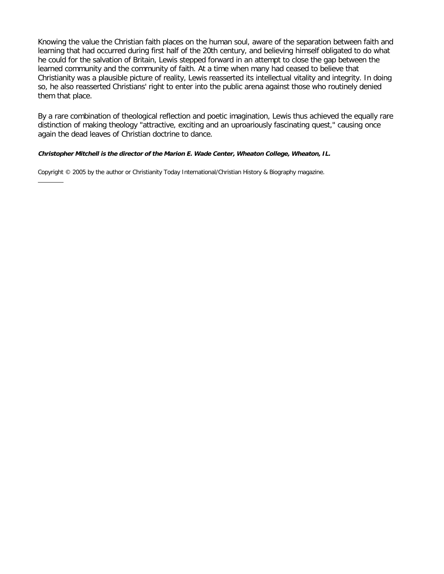Knowing the value the Christian faith places on the human soul, aware of the separation between faith and learning that had occurred during first half of the 20th century, and believing himself obligated to do what he could for the salvation of Britain, Lewis stepped forward in an attempt to close the gap between the learned community and the community of faith. At a time when many had ceased to believe that Christianity was a plausible picture of reality, Lewis reasserted its intellectual vitality and integrity. In doing so, he also reasserted Christians' right to enter into the public arena against those who routinely denied them that place.

By a rare combination of theological reflection and poetic imagination, Lewis thus achieved the equally rare distinction of making theology "attractive, exciting and an uproariously fascinating quest," causing once again the dead leaves of Christian doctrine to dance.

### **Christopher Mitchell is the director of the Marion E. Wade Center, Wheaton College, Wheaton, IL.**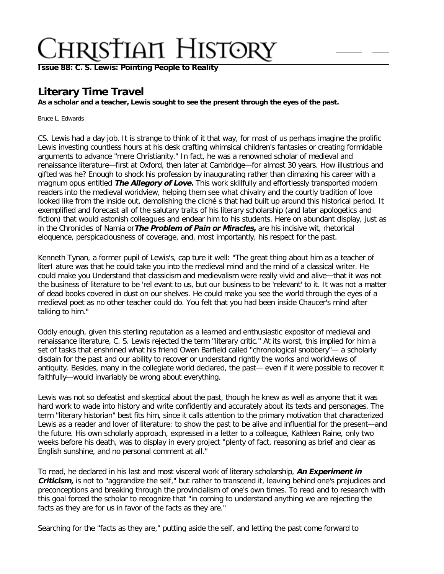**[Issue 88: C. S. Lewis: Pointing People to Reality](http://ctlstaging/ch/cdrom/collection.html?id=2868)**

## **Literary Time Travel**

**As a scholar and a teacher, Lewis sought to see the present through the eyes of the past.** 

Bruce L. Edwards

CS. Lewis had a day job. It is strange to think of it that way, for most of us perhaps imagine the prolific Lewis investing countless hours at his desk crafting whimsical children's fantasies or creating formidable arguments to advance "mere Christianity." In fact, he was a renowned scholar of medieval and renaissance literature—first at Oxford, then later at Cambridge—for almost 30 years. How illustrious and gifted was he? Enough to shock his profession by inaugurating rather than climaxing his career with a magnum opus entitled **The Allegory of Love.** This work skillfully and effortlessly transported modern readers into the medieval woridview, helping them see what chivalry and the courtly tradition of love looked like from the inside out, demolishing the cliché s that had built up around this historical period. It exemplified and forecast all of the salutary traits of his literary scholarship (and later apologetics and fiction) that would astonish colleagues and endear him to his students. Here on abundant display, just as in the Chronicles of Namia or**The Problem of Pain or Miracles,** are his incisive wit, rhetorical eloquence, perspicaciousness of coverage, and, most importantly, his respect for the past.

Kenneth Tynan, a former pupil of Lewis's, cap ture it well: "The great thing about him as a teacher of literI ature was that he could take you into the medieval mind and the mind of a classical writer. He could make you Understand that classicism and medievalism were really vivid and alive—that it was not the business of literature to be 'rel evant to us, but our business to be 'relevant' to it. It was not a matter of dead books covered in dust on our shelves. He could make you see the world through the eyes of a medieval poet as no other teacher could do. You felt that you had been inside Chaucer's mind after talking to him."

Oddly enough, given this sterling reputation as a learned and enthusiastic expositor of medieval and renaissance literature, C. S. Lewis rejected the term "literary critic." At its worst, this implied for him a set of tasks that enshrined what his friend Owen Barfield called "chronological snobbery"— a scholarly disdain for the past and our ability to recover or understand rightly the works and woridviews of antiquity. Besides, many in the collegiate world declared, the past— even if it were possible to recover it faithfully—would invariably be wrong about everything.

Lewis was not so defeatist and skeptical about the past, though he knew as well as anyone that it was hard work to wade into history and write confidently and accurately about its texts and personages. The term "literary historian" best fits him, since it calls attention to the primary motivation that characterized Lewis as a reader and lover of literature: to show the past to be alive and influential for the present—and the future. His own scholarly approach, expressed in a letter to a colleague, Kathleen Raine, only two weeks before his death, was to display in every project "plenty of fact, reasoning as brief and clear as English sunshine, and no personal comment at all."

To read, he declared in his last and most visceral work of literary scholarship, **An Experiment in Criticism,** is not to "aggrandize the self," but rather to transcend it, leaving behind one's prejudices and preconceptions and breaking through the provincialism of one's own times. To read and to research with this goal forced the scholar to recognize that "in coming to understand anything we are rejecting the facts as they are for us in favor of the facts as they are."

Searching for the "facts as they are," putting aside the self, and letting the past come forward to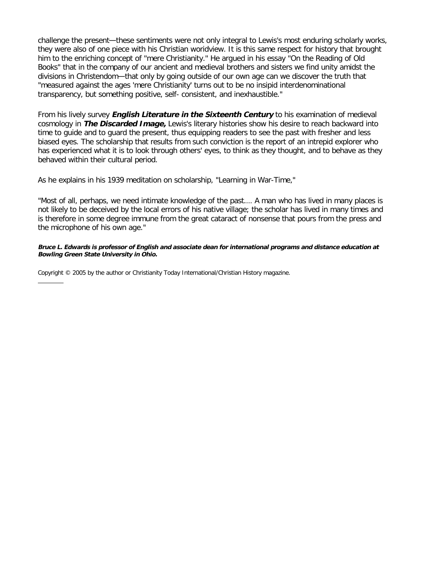challenge the present—these sentiments were not only integral to Lewis's most enduring scholarly works, they were also of one piece with his Christian woridview. It is this same respect for history that brought him to the enriching concept of "mere Christianity." He argued in his essay "On the Reading of Old Books" that in the company of our ancient and medieval brothers and sisters we find unity amidst the divisions in Christendom—that only by going outside of our own age can we discover the truth that "measured against the ages 'mere Christianity' turns out to be no insipid interdenominational transparency, but something positive, self- consistent, and inexhaustible."

From his lively survey **English Literature in the Sixteenth Century** to his examination of medieval cosmology in **The Discarded Image,** Lewis's literary histories show his desire to reach backward into time to guide and to guard the present, thus equipping readers to see the past with fresher and less biased eyes. The scholarship that results from such conviction is the report of an intrepid explorer who has experienced what it is to look through others' eyes, to think as they thought, and to behave as they behaved within their cultural period.

As he explains in his 1939 meditation on scholarship, "Learning in War-Time,"

"Most of all, perhaps, we need intimate knowledge of the past.… A man who has lived in many places is not likely to be deceived by the local errors of his native village; the scholar has lived in many times and is therefore in some degree immune from the great cataract of nonsense that pours from the press and the microphone of his own age."

**Bruce L. Edwards is professor of English and associate dean for international programs and distance education at Bowling Green State University in Ohio.**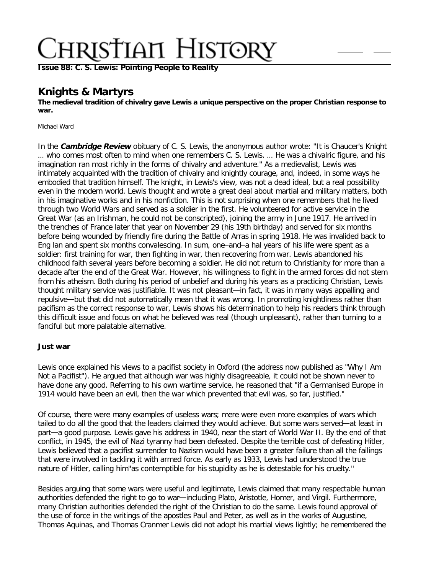**[Issue 88: C. S. Lewis: Pointing People to Reality](http://ctlstaging/ch/cdrom/collection.html?id=2868)**

## **Knights & Martyrs**

**The medieval tradition of chivalry gave Lewis a unique perspective on the proper Christian response to war.** 

Michael Ward

In the **Cambridge Review** obituary of C. S. Lewis, the anonymous author wrote: "It is Chaucer's Knight … who comes most often to mind when one remembers C. S. Lewis. … He was a chivalric figure, and his imagination ran most richly in the forms of chivalry and adventure." As a medievalist, Lewis was intimately acquainted with the tradition of chivalry and knightly courage, and, indeed, in some ways he embodied that tradition himself. The knight, in Lewis's view, was not a dead ideal, but a real possibility even in the modern world. Lewis thought and wrote a great deal about martial and military matters, both in his imaginative works and in his nonfiction. This is not surprising when one remembers that he lived through two World Wars and served as a soldier in the first. He volunteered for active service in the Great War (as an Irishman, he could not be conscripted), joining the army in June 1917. He arrived in the trenches of France later that year on November 29 (his 19th birthday) and served for six months before being wounded by friendly fire during the Battle of Arras in spring 1918. He was invalided back to Eng lan and spent six months convalescing. In sum, one–and–a hal years of his life were spent as a soldier: first training for war, then fighting in war, then recovering from war. Lewis abandoned his childhood faith several years before becoming a soldier. He did not return to Christianity for more than a decade after the end of the Great War. However, his willingness to fight in the armed forces did not stem from his atheism. Both during his period of unbelief and during his years as a practicing Christian, Lewis thought military service was justifiable. It was not pleasant—in fact, it was in many ways appalling and repulsive—but that did not automatically mean that it was wrong. In promoting knightliness rather than pacifism as the correct response to war, Lewis shows his determination to help his readers think through this difficult issue and focus on what he believed was real (though unpleasant), rather than turning to a fanciful but more palatable alternative.

### **Just war**

Lewis once explained his views to a pacifist society in Oxford (the address now published as "Why I Am Not a Pacifist"). He argued that although war was highly disagreeable, it could not be shown never to have done any good. Referring to his own wartime service, he reasoned that "if a Germanised Europe in 1914 would have been an evil, then the war which prevented that evil was, so far, justified."

Of course, there were many examples of useless wars; mere were even more examples of wars which tailed to do all the good that the leaders claimed they would achieve. But some wars served—at least in part—a good purpose. Lewis gave his address in 1940, near the start of World War II. By the end of that conflict, in 1945, the evil of Nazi tyranny had been defeated. Despite the terrible cost of defeating Hitler, Lewis believed that a pacifist surrender to Nazism would have been a greater failure than all the failings that were involved in tackling it with armed force. As early as 1933, Lewis had understood the true nature of Hitler, calling him"as contemptible for his stupidity as he is detestable for his cruelty."

Besides arguing that some wars were useful and legitimate, Lewis claimed that many respectable human authorities defended the right to go to war—including Plato, Aristotle, Homer, and Virgil. Furthermore, many Christian authorities defended the right of the Christian to do the same. Lewis found approval of the use of force in the writings of the apostles Paul and Peter, as well as in the works of Augustine, Thomas Aquinas, and Thomas Cranmer Lewis did not adopt his martial views lightly; he remembered the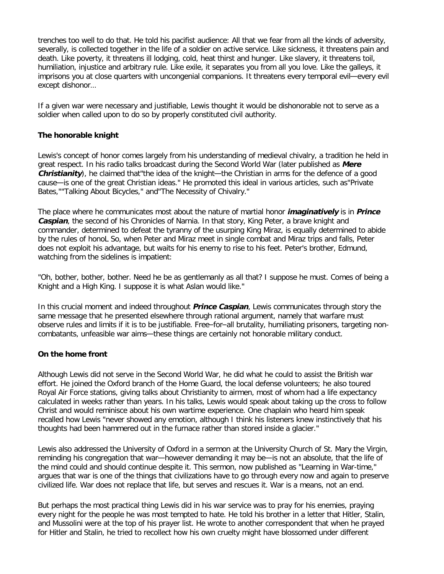trenches too well to do that. He told his pacifist audience: All that we fear from all the kinds of adversity, severally, is collected together in the life of a soldier on active service. Like sickness, it threatens pain and death. Like poverty, it threatens ill lodging, cold, heat thirst and hunger. Like slavery, it threatens toil, humiliation, injustice and arbitrary rule. Like exile, it separates you from all you love. Like the galleys, it imprisons you at close quarters with uncongenial companions. It threatens every temporal evil—every evil except dishonor…

If a given war were necessary and justifiable, Lewis thought it would be dishonorable not to serve as a soldier when called upon to do so by properly constituted civil authority.

### **The honorable knight**

Lewis's concept of honor comes largely from his understanding of medieval chivalry, a tradition he held in great respect. In his radio talks broadcast during the Second World War (later published as **Mere Christianity**), he claimed that the idea of the knight—the Christian in arms for the defence of a good cause—is one of the great Christian ideas." He promoted this ideal in various articles, such as"Private Bates,""Talking About Bicycles," and"The Necessity of Chivalry."

The place where he communicates most about the nature of martial honor **imaginatively** is in **Prince Caspian**, the second of his Chronicles of Narnia. In that story, King Peter, a brave knight and commander, determined to defeat the tyranny of the usurping King Miraz, is equally determined to abide by the rules of honoL So, when Peter and Miraz meet in single combat and Miraz trips and falls, Peter does not exploit his advantage, but waits for his enemy to rise to his feet. Peter's brother, Edmund, watching from the sidelines is impatient:

"Oh, bother, bother, bother. Need he be as gentlemanly as all that? I suppose he must. Comes of being a Knight and a High King. I suppose it is what Aslan would like."

In this crucial moment and indeed throughout **Prince Caspian**, Lewis communicates through story the same message that he presented elsewhere through rational argument, namely that warfare must observe rules and limits if it is to be justifiable. Free–for–all brutality, humiliating prisoners, targeting noncombatants, unfeasible war aims—these things are certainly not honorable military conduct.

### **On the home front**

Although Lewis did not serve in the Second World War, he did what he could to assist the British war effort. He joined the Oxford branch of the Home Guard, the local defense volunteers; he also toured Royal Air Force stations, giving talks about Christianity to airmen, most of whom had a life expectancy calculated in weeks rather than years. In his talks, Lewis would speak about taking up the cross to follow Christ and would reminisce about his own wartime experience. One chaplain who heard him speak recalled how Lewis "never showed any emotion, although I think his listeners knew instinctively that his thoughts had been hammered out in the furnace rather than stored inside a glacier."

Lewis also addressed the University of Oxford in a sermon at the University Church of St. Mary the Virgin, reminding his congregation that war—however demanding it may be—is not an absolute, that the life of the mind could and should continue despite it. This sermon, now published as "Learning in War-time," argues that war is one of the things that civilizations have to go through every now and again to preserve civilized life. War does not replace that life, but serves and rescues it. War is a means, not an end.

But perhaps the most practical thing Lewis did in his war service was to pray for his enemies, praying every night for the people he was most tempted to hate. He told his brother in a letter that Hitler, Stalin, and Mussolini were at the top of his prayer list. He wrote to another correspondent that when he prayed for Hitler and Stalin, he tried to recollect how his own cruelty might have blossomed under different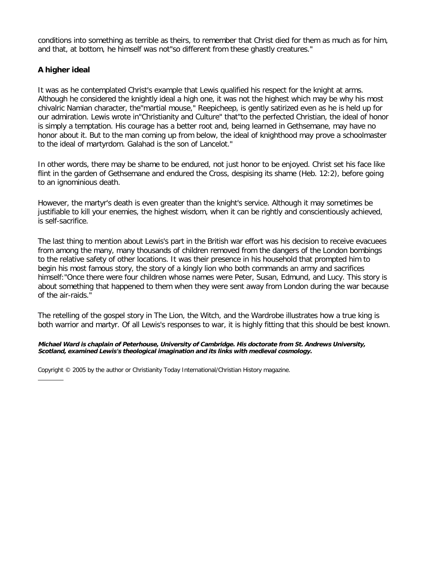conditions into something as terrible as theirs, to remember that Christ died for them as much as for him, and that, at bottom, he himself was not"so different from these ghastly creatures."

### **A higher ideal**

It was as he contemplated Christ's example that Lewis qualified his respect for the knight at arms. Although he considered the knightly ideal a high one, it was not the highest which may be why his most chivalric Namian character, the"martial mouse," Reepicheep, is gently satirized even as he is held up for our admiration. Lewis wrote in"Christianity and Culture" that"to the perfected Christian, the ideal of honor is simply a temptation. His courage has a better root and, being learned in Gethsemane, may have no honor about it. But to the man coming up from below, the ideal of knighthood may prove a schoolmaster to the ideal of martyrdom. Galahad is the son of Lancelot."

In other words, there may be shame to be endured, not just honor to be enjoyed. Christ set his face like flint in the garden of Gethsemane and endured the Cross, despising its shame (Heb. 12:2), before going to an ignominious death.

However, the martyr's death is even greater than the knight's service. Although it may sometimes be justifiable to kill your enemies, the highest wisdom, when it can be rightly and conscientiously achieved, is self-sacrifice.

The last thing to mention about Lewis's part in the British war effort was his decision to receive evacuees from among the many, many thousands of children removed from the dangers of the London bombings to the relative safety of other locations. It was their presence in his household that prompted him to begin his most famous story, the story of a kingly lion who both commands an army and sacrifices himself:"Once there were four children whose names were Peter, Susan, Edmund, and Lucy. This story is about something that happened to them when they were sent away from London during the war because of the air-raids."

The retelling of the gospel story in The Lion, the Witch, and the Wardrobe illustrates how a true king is both warrior and martyr. Of all Lewis's responses to war, it is highly fitting that this should be best known.

#### **Michael Ward is chaplain of Peterhouse, University of Cambridge. His doctorate from St. Andrews University, Scotland, examined Lewis's theological imagination and its links with medieval cosmology.**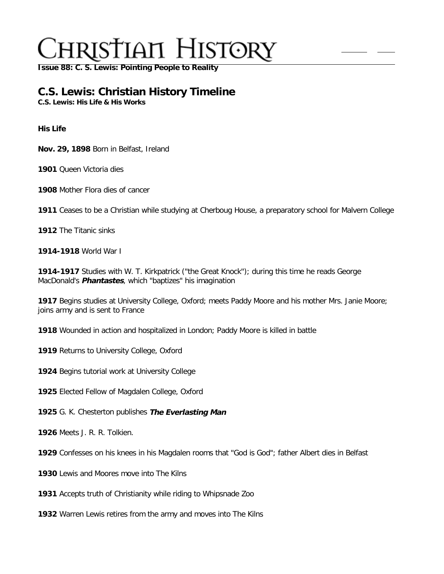**[Issue 88: C. S. Lewis: Pointing People to Reality](http://ctlstaging/ch/cdrom/collection.html?id=2868)**

## **C.S. Lewis: Christian History Timeline**

**C.S. Lewis: His Life & His Works**

**His Life**

**Nov. 29, 1898** Born in Belfast, Ireland

**1901** Queen Victoria dies

**1908** Mother Flora dies of cancer

**1911** Ceases to be a Christian while studying at Cherboug House, a preparatory school for Malvern College

**1912** The Titanic sinks

**1914-1918** World War I

**1914-1917** Studies with W. T. Kirkpatrick ("the Great Knock"); during this time he reads George MacDonald's **Phantastes**, which "baptizes" his imagination

**1917** Begins studies at University College, Oxford; meets Paddy Moore and his mother Mrs. Janie Moore; joins army and is sent to France

**1918** Wounded in action and hospitalized in London; Paddy Moore is killed in battle

**1919** Returns to University College, Oxford

**1924** Begins tutorial work at University College

**1925** Elected Fellow of Magdalen College, Oxford

**1925** G. K. Chesterton publishes **The Everlasting Man**

**1926** Meets J. R. R. Tolkien.

**1929** Confesses on his knees in his Magdalen rooms that "God is God"; father Albert dies in Belfast

**1930** Lewis and Moores move into The Kilns

**1931** Accepts truth of Christianity while riding to Whipsnade Zoo

**1932** Warren Lewis retires from the army and moves into The Kilns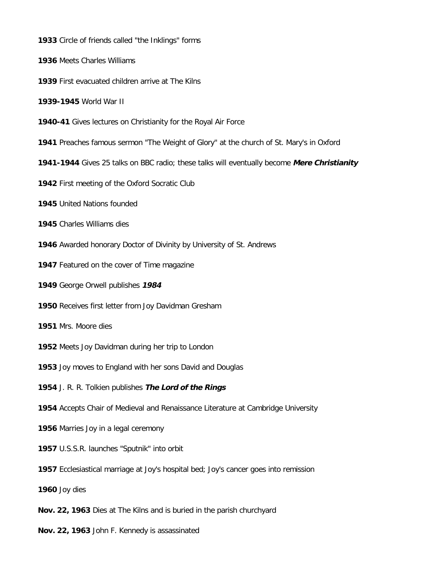Circle of friends called "the Inklings" forms

Meets Charles Williams

First evacuated children arrive at The Kilns

**1939-1945** World War II

- **1940-41** Gives lectures on Christianity for the Royal Air Force
- Preaches famous sermon "The Weight of Glory" at the church of St. Mary's in Oxford
- **1941-1944** Gives 25 talks on BBC radio; these talks will eventually become **Mere Christianity**
- First meeting of the Oxford Socratic Club
- United Nations founded
- Charles Williams dies
- Awarded honorary Doctor of Divinity by University of St. Andrews
- Featured on the cover of Time magazine
- George Orwell publishes **1984**
- Receives first letter from Joy Davidman Gresham
- Mrs. Moore dies
- Meets Joy Davidman during her trip to London
- Joy moves to England with her sons David and Douglas
- J. R. R. Tolkien publishes **The Lord of the Rings**
- Accepts Chair of Medieval and Renaissance Literature at Cambridge University
- Marries Joy in a legal ceremony
- U.S.S.R. launches "Sputnik" into orbit
- Ecclesiastical marriage at Joy's hospital bed; Joy's cancer goes into remission
- Joy dies
- **Nov. 22, 1963** Dies at The Kilns and is buried in the parish churchyard
- **Nov. 22, 1963** John F. Kennedy is assassinated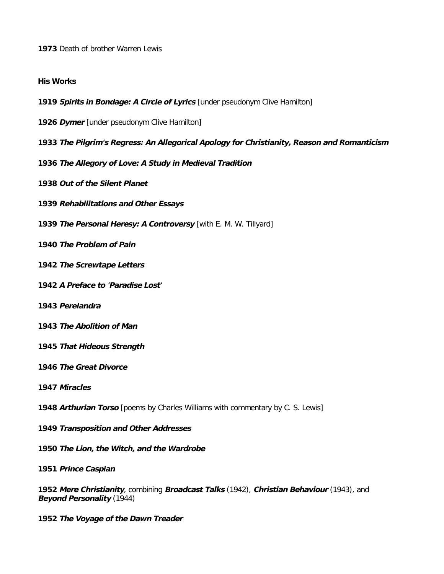Death of brother Warren Lewis

### **His Works**

- **Spirits in Bondage: A Circle of Lyrics** [under pseudonym Clive Hamilton]
- **Dymer** [under pseudonym Clive Hamilton]
- **The Pilgrim's Regress: An Allegorical Apology for Christianity, Reason and Romanticism**
- **The Allegory of Love: A Study in Medieval Tradition**
- **Out of the Silent Planet**
- **Rehabilitations and Other Essays**
- **The Personal Heresy: A Controversy** [with E. M. W. Tillyard]
- **The Problem of Pain**
- **The Screwtape Letters**
- **A Preface to 'Paradise Lost'**
- **Perelandra**
- **The Abolition of Man**
- **That Hideous Strength**
- **The Great Divorce**
- **Miracles**
- **Arthurian Torso** [poems by Charles Williams with commentary by C. S. Lewis]
- **Transposition and Other Addresses**
- **The Lion, the Witch, and the Wardrobe**
- **Prince Caspian**
- **Mere Christianity**, combining **Broadcast Talks** (1942), **Christian Behaviour** (1943), and **Beyond Personality** (1944)
- **The Voyage of the Dawn Treader**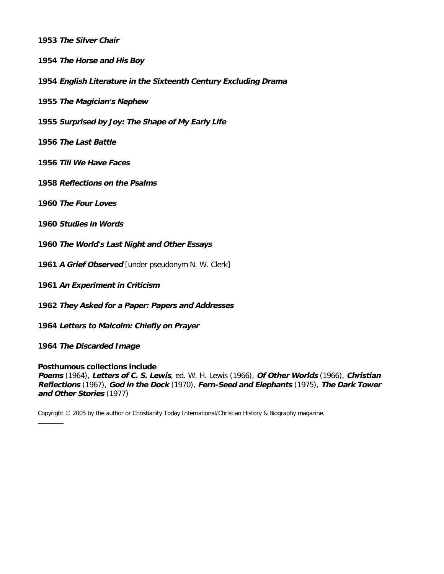**The Silver Chair**

**The Horse and His Boy**

**English Literature in the Sixteenth Century Excluding Drama**

**The Magician's Nephew**

**Surprised by Joy: The Shape of My Early Life**

**The Last Battle**

**Till We Have Faces**

**Reflections on the Psalms**

**The Four Loves**

**Studies in Words**

**The World's Last Night and Other Essays**

**A Grief Observed** [under pseudonym N. W. Clerk]

**An Experiment in Criticism**

**They Asked for a Paper: Papers and Addresses**

**Letters to Malcolm: Chiefly on Prayer**

**The Discarded Image**

**Posthumous collections include** 

**Poems** (1964), **Letters of C. S. Lewis**, ed. W. H. Lewis (1966), **Of Other Worlds** (1966), **Christian Reflections** (1967), **God in the Dock** (1970), **Fern-Seed and Elephants** (1975), **The Dark Tower and Other Stories** (1977)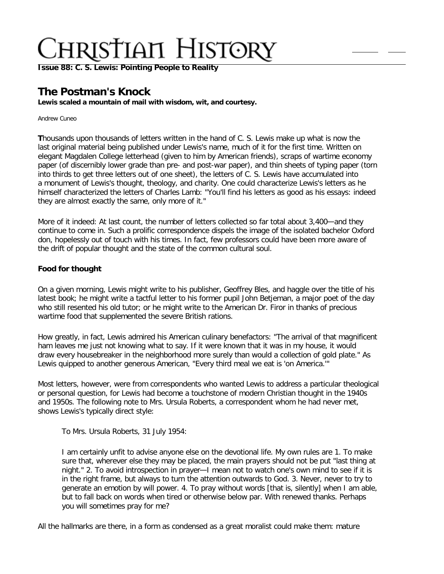**[Issue 88: C. S. Lewis: Pointing People to Reality](http://ctlstaging/ch/cdrom/collection.html?id=2868)**

## **The Postman's Knock**

**Lewis scaled a mountain of mail with wisdom, wit, and courtesy.**

Andrew Cuneo

**T**housands upon thousands of letters written in the hand of C. S. Lewis make up what is now the last original material being published under Lewis's name, much of it for the first time. Written on elegant Magdalen College letterhead (given to him by American friends), scraps of wartime economy paper (of discernibly lower grade than pre- and post-war paper), and thin sheets of typing paper (torn into thirds to get three letters out of one sheet), the letters of C. S. Lewis have accumulated into a monument of Lewis's thought, theology, and charity. One could characterize Lewis's letters as he himself characterized the letters of Charles Lamb: "You'll find his letters as good as his essays: indeed they are almost exactly the same, only more of it."

More of it indeed: At last count, the number of letters collected so far total about 3,400—and they continue to come in. Such a prolific correspondence dispels the image of the isolated bachelor Oxford don, hopelessly out of touch with his times. In fact, few professors could have been more aware of the drift of popular thought and the state of the common cultural soul.

### **Food for thought**

On a given morning, Lewis might write to his publisher, Geoffrey Bles, and haggle over the title of his latest book; he might write a tactful letter to his former pupil John Betjeman, a major poet of the day who still resented his old tutor; or he might write to the American Dr. Firor in thanks of precious wartime food that supplemented the severe British rations.

How greatly, in fact, Lewis admired his American culinary benefactors: "The arrival of that magnificent ham leaves me just not knowing what to say. If it were known that it was in my house, it would draw every housebreaker in the neighborhood more surely than would a collection of gold plate." As Lewis quipped to another generous American, "Every third meal we eat is 'on America.'"

Most letters, however, were from correspondents who wanted Lewis to address a particular theological or personal question, for Lewis had become a touchstone of modern Christian thought in the 1940s and 1950s. The following note to Mrs. Ursula Roberts, a correspondent whom he had never met, shows Lewis's typically direct style:

To Mrs. Ursula Roberts, 31 July 1954:

I am certainly unfit to advise anyone else on the devotional life. My own rules are 1. To make sure that, wherever else they may be placed, the main prayers should not be put "last thing at night." 2. To avoid introspection in prayer—I mean not to watch one's own mind to see if it is in the right frame, but always to turn the attention outwards to God. 3. Never, never to try to generate an emotion by will power. 4. To pray without words [that is, silently] when I am able, but to fall back on words when tired or otherwise below par. With renewed thanks. Perhaps you will sometimes pray for me?

All the hallmarks are there, in a form as condensed as a great moralist could make them: mature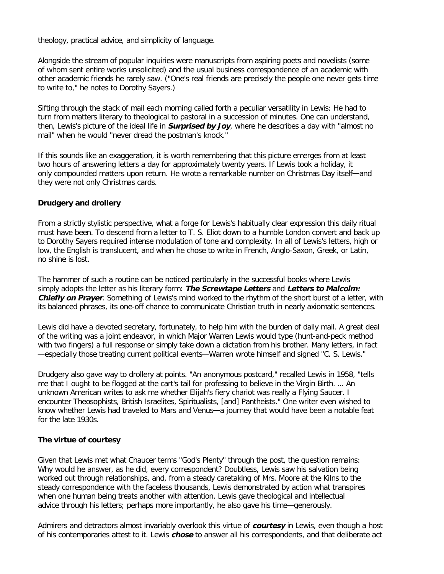theology, practical advice, and simplicity of language.

Alongside the stream of popular inquiries were manuscripts from aspiring poets and novelists (some of whom sent entire works unsolicited) and the usual business correspondence of an academic with other academic friends he rarely saw. ("One's real friends are precisely the people one never gets time to write to," he notes to Dorothy Sayers.)

Sifting through the stack of mail each morning called forth a peculiar versatility in Lewis: He had to turn from matters literary to theological to pastoral in a succession of minutes. One can understand, then, Lewis's picture of the ideal life in **Surprised by Joy**, where he describes a day with "almost no mail" when he would "never dread the postman's knock."

If this sounds like an exaggeration, it is worth remembering that this picture emerges from at least two hours of answering letters a day for approximately twenty years. If Lewis took a holiday, it only compounded matters upon return. He wrote a remarkable number on Christmas Day itself—and they were not only Christmas cards.

### **Drudgery and drollery**

From a strictly stylistic perspective, what a forge for Lewis's habitually clear expression this daily ritual must have been. To descend from a letter to T. S. Eliot down to a humble London convert and back up to Dorothy Sayers required intense modulation of tone and complexity. In all of Lewis's letters, high or low, the English is translucent, and when he chose to write in French, Anglo-Saxon, Greek, or Latin, no shine is lost.

The hammer of such a routine can be noticed particularly in the successful books where Lewis simply adopts the letter as his literary form: **The Screwtape Letters** and **Letters to Malcolm: Chiefly on Prayer**. Something of Lewis's mind worked to the rhythm of the short burst of a letter, with its balanced phrases, its one-off chance to communicate Christian truth in nearly axiomatic sentences.

Lewis did have a devoted secretary, fortunately, to help him with the burden of daily mail. A great deal of the writing was a joint endeavor, in which Major Warren Lewis would type (hunt-and-peck method with two fingers) a full response or simply take down a dictation from his brother. Many letters, in fact —especially those treating current political events—Warren wrote himself and signed "C. S. Lewis."

Drudgery also gave way to drollery at points. "An anonymous postcard," recalled Lewis in 1958, "tells me that I ought to be flogged at the cart's tail for professing to believe in the Virgin Birth. … An unknown American writes to ask me whether Elijah's fiery chariot was really a Flying Saucer. I encounter Theosophists, British Israelites, Spiritualists, [and] Pantheists." One writer even wished to know whether Lewis had traveled to Mars and Venus—a journey that would have been a notable feat for the late 1930s.

### **The virtue of courtesy**

Given that Lewis met what Chaucer terms "God's Plenty" through the post, the question remains: Why would he answer, as he did, every correspondent? Doubtless, Lewis saw his salvation being worked out through relationships, and, from a steady caretaking of Mrs. Moore at the Kilns to the steady correspondence with the faceless thousands, Lewis demonstrated by action what transpires when one human being treats another with attention. Lewis gave theological and intellectual advice through his letters; perhaps more importantly, he also gave his time—generously.

Admirers and detractors almost invariably overlook this virtue of **courtesy** in Lewis, even though a host of his contemporaries attest to it. Lewis **chose** to answer all his correspondents, and that deliberate act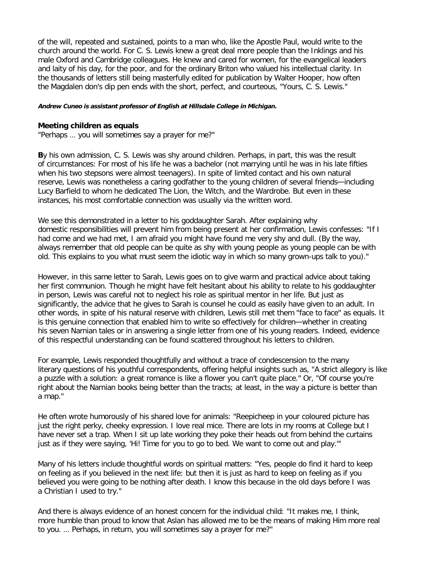of the will, repeated and sustained, points to a man who, like the Apostle Paul, would write to the church around the world. For C. S. Lewis knew a great deal more people than the Inklings and his male Oxford and Cambridge colleagues. He knew and cared for women, for the evangelical leaders and laity of his day, for the poor, and for the ordinary Briton who valued his intellectual clarity. In the thousands of letters still being masterfully edited for publication by Walter Hooper, how often the Magdalen don's dip pen ends with the short, perfect, and courteous, "Yours, C. S. Lewis."

### **Andrew Cuneo is assistant professor of English at Hillsdale College in Michigan.**

### **Meeting children as equals**

"Perhaps … you will sometimes say a prayer for me?"

**B**y his own admission, C. S. Lewis was shy around children. Perhaps, in part, this was the result of circumstances: For most of his life he was a bachelor (not marrying until he was in his late fifties when his two stepsons were almost teenagers). In spite of limited contact and his own natural reserve, Lewis was nonetheless a caring godfather to the young children of several friends—including Lucy Barfield to whom he dedicated The Lion, the Witch, and the Wardrobe. But even in these instances, his most comfortable connection was usually via the written word.

We see this demonstrated in a letter to his goddaughter Sarah. After explaining why domestic responsibilities will prevent him from being present at her confirmation, Lewis confesses: "If I had come and we had met, I am afraid you might have found me very shy and dull. (By the way, always remember that old people can be quite as shy with young people as young people can be with old. This explains to you what must seem the idiotic way in which so many grown-ups talk to you)."

However, in this same letter to Sarah, Lewis goes on to give warm and practical advice about taking her first communion. Though he might have felt hesitant about his ability to relate to his goddaughter in person, Lewis was careful not to neglect his role as spiritual mentor in her life. But just as significantly, the advice that he gives to Sarah is counsel he could as easily have given to an adult. In other words, in spite of his natural reserve with children, Lewis still met them "face to face" as equals. It is this genuine connection that enabled him to write so effectively for children—whether in creating his seven Narnian tales or in answering a single letter from one of his young readers. Indeed, evidence of this respectful understanding can be found scattered throughout his letters to children.

For example, Lewis responded thoughtfully and without a trace of condescension to the many literary questions of his youthful correspondents, offering helpful insights such as, "A strict allegory is like a puzzle with a solution: a great romance is like a flower you can't quite place." Or, "Of course you're right about the Narnian books being better than the tracts; at least, in the way a picture is better than a map."

He often wrote humorously of his shared love for animals: "Reepicheep in your coloured picture has just the right perky, cheeky expression. I love real mice. There are lots in my rooms at College but I have never set a trap. When I sit up late working they poke their heads out from behind the curtains just as if they were saying, 'Hi! Time for you to go to bed. We want to come out and play.'"

Many of his letters include thoughtful words on spiritual matters: "Yes, people do find it hard to keep on feeling as if you believed in the next life: but then it is just as hard to keep on feeling as if you believed you were going to be nothing after death. I know this because in the old days before I was a Christian I used to try."

And there is always evidence of an honest concern for the individual child: "It makes me, I think, more humble than proud to know that Aslan has allowed me to be the means of making Him more real to you. … Perhaps, in return, you will sometimes say a prayer for me?"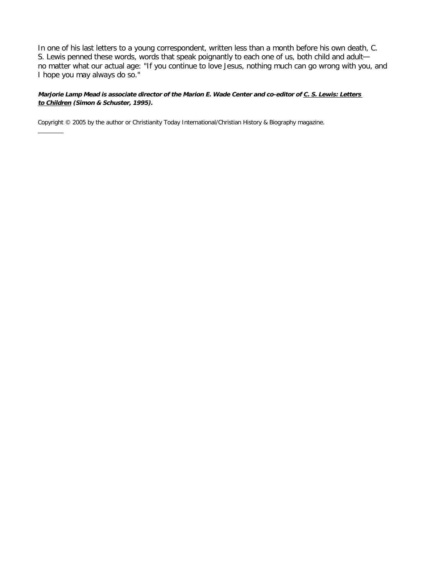In one of his last letters to a young correspondent, written less than a month before his own death, C. S. Lewis penned these words, words that speak poignantly to each one of us, both child and adult no matter what our actual age: "If you continue to love Jesus, nothing much can go wrong with you, and I hope you may always do so."

### **Marjorie Lamp Mead is associate director of the Marion E. Wade Center and co-editor o[f C. S. Lewis: Letters](http://www.amazon.com/exec/obidos/ASIN/0684823721/christianitytoda)  [to Children](http://www.amazon.com/exec/obidos/ASIN/0684823721/christianitytoda) (Simon & Schuster, 1995).**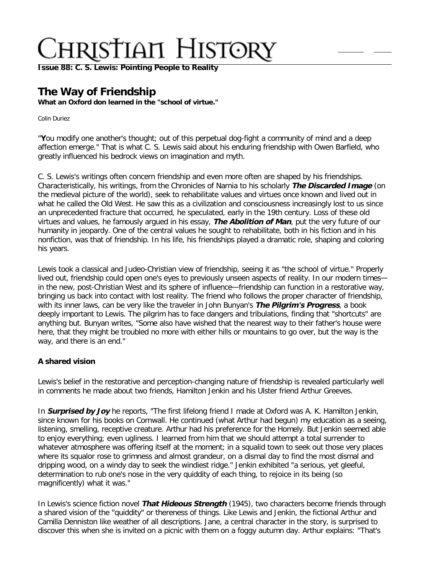**[Issue 88: C. S. Lewis: Pointing People to Reality](http://ctlstaging/ch/cdrom/collection.html?id=2868)**

## **The Way of Friendship**

**What an Oxford don learned in the "school of virtue."**

Colin Duriez

"**Y**ou modify one another's thought; out of this perpetual dog-fight a community of mind and a deep affection emerge." That is what C. S. Lewis said about his enduring friendship with Owen Barfield, who greatly influenced his bedrock views on imagination and myth.

C. S. Lewis's writings often concern friendship and even more often are shaped by his friendships. Characteristically, his writings, from the Chronicles of Narnia to his scholarly **The Discarded Image** (on the medieval picture of the world), seek to rehabilitate values and virtues once known and lived out in what he called the Old West. He saw this as a civilization and consciousness increasingly lost to us since an unprecedented fracture that occurred, he speculated, early in the 19th century. Loss of these old virtues and values, he famously argued in his essay, **The Abolition of Man**, put the very future of our humanity in jeopardy. One of the central values he sought to rehabilitate, both in his fiction and in his nonfiction, was that of friendship. In his life, his friendships played a dramatic role, shaping and coloring his years.

Lewis took a classical and Judeo-Christian view of friendship, seeing it as "the school of virtue." Properly lived out, friendship could open one's eyes to previously unseen aspects of reality. In our modern times in the new, post-Christian West and its sphere of influence—friendship can function in a restorative way, bringing us back into contact with lost reality. The friend who follows the proper character of friendship, with its inner laws, can be very like the traveler in John Bunyan's **The Pilgrim's Progress**, a book deeply important to Lewis. The pilgrim has to face dangers and tribulations, finding that "shortcuts" are anything but. Bunyan writes, "Some also have wished that the nearest way to their father's house were here, that they might be troubled no more with either hills or mountains to go over, but the way is the way, and there is an end."

### **A shared vision**

Lewis's belief in the restorative and perception-changing nature of friendship is revealed particularly well in comments he made about two friends, Hamilton Jenkin and his Ulster friend Arthur Greeves.

In **Surprised by Joy** he reports, "The first lifelong friend I made at Oxford was A. K. Hamilton Jenkin, since known for his books on Cornwall. He continued (what Arthur had begun) my education as a seeing, listening, smelling, receptive creature. Arthur had his preference for the Homely. But Jenkin seemed able to enjoy everything; even ugliness. I learned from him that we should attempt a total surrender to whatever atmosphere was offering itself at the moment; in a squalid town to seek out those very places where its squalor rose to grimness and almost grandeur, on a dismal day to find the most dismal and dripping wood, on a windy day to seek the windiest ridge." Jenkin exhibited "a serious, yet gleeful, determination to rub one's nose in the very quiddity of each thing, to rejoice in its being (so magnificently) what it was."

In Lewis's science fiction novel **That Hideous Strength** (1945), two characters become friends through a shared vision of the "quiddity" or thereness of things. Like Lewis and Jenkin, the fictional Arthur and Camilla Denniston like weather of all descriptions. Jane, a central character in the story, is surprised to discover this when she is invited on a picnic with them on a foggy autumn day. Arthur explains: "That's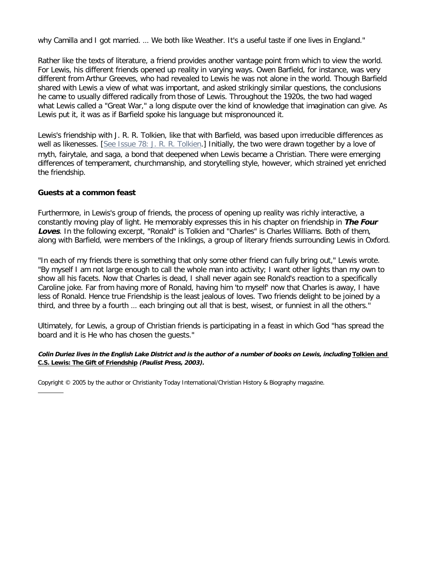why Camilla and I got married. ... We both like Weather. It's a useful taste if one lives in England."

Rather like the texts of literature, a friend provides another vantage point from which to view the world. For Lewis, his different friends opened up reality in varying ways. Owen Barfield, for instance, was very different from Arthur Greeves, who had revealed to Lewis he was not alone in the world. Though Barfield shared with Lewis a view of what was important, and asked strikingly similar questions, the conclusions he came to usually differed radically from those of Lewis. Throughout the 1920s, the two had waged what Lewis called a "Great War," a long dispute over the kind of knowledge that imagination can give. As Lewis put it, it was as if Barfield spoke his language but mispronounced it.

Lewis's friendship with J. R. R. Tolkien, like that with Barfield, was based upon irreducible differences as well as likenesses. [[See Issue 78: J. R. R. Tolkien](http://www.christianitytoday.com/ch/2003/002/).] Initially, the two were drawn together by a love of myth, fairytale, and saga, a bond that deepened when Lewis became a Christian. There were emerging differences of temperament, churchmanship, and storytelling style, however, which strained yet enriched the friendship.

### **Guests at a common feast**

Furthermore, in Lewis's group of friends, the process of opening up reality was richly interactive, a constantly moving play of light. He memorably expresses this in his chapter on friendship in **The Four Loves**. In the following excerpt, "Ronald" is Tolkien and "Charles" is Charles Williams. Both of them, along with Barfield, were members of the Inklings, a group of literary friends surrounding Lewis in Oxford.

"In each of my friends there is something that only some other friend can fully bring out," Lewis wrote. "By myself I am not large enough to call the whole man into activity; I want other lights than my own to show all his facets. Now that Charles is dead, I shall never again see Ronald's reaction to a specifically Caroline joke. Far from having more of Ronald, having him 'to myself' now that Charles is away, I have less of Ronald. Hence true Friendship is the least jealous of loves. Two friends delight to be joined by a third, and three by a fourth … each bringing out all that is best, wisest, or funniest in all the others."

Ultimately, for Lewis, a group of Christian friends is participating in a feast in which God "has spread the board and it is He who has chosen the guests."

**Colin Duriez lives in the English Lake District and is the author of a number of books on Lewis, including [Tolkien and](http://www.christianbook.com/Christian/Books/product/?item_no=680262&p=1006325) [C.S. Lewis: The Gift of Friendship](http://www.christianbook.com/Christian/Books/product/?item_no=680262&p=1006325) (Paulist Press, 2003).**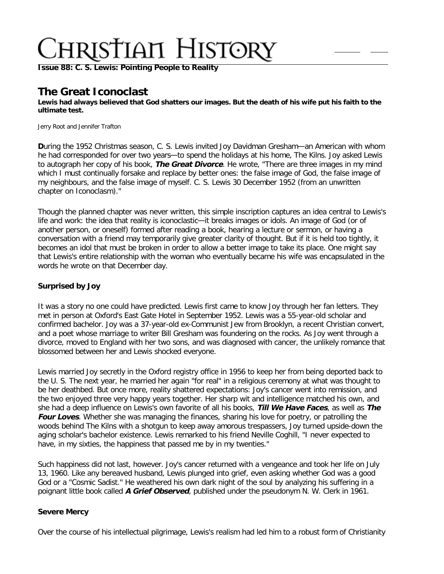**[Issue 88: C. S. Lewis: Pointing People to Reality](http://ctlstaging/ch/cdrom/collection.html?id=2868)**

## **The Great Iconoclast**

**Lewis had always believed that God shatters our images. But the death of his wife put his faith to the ultimate test.**

Jerry Root and Jennifer Trafton

**D**uring the 1952 Christmas season, C. S. Lewis invited Joy Davidman Gresham—an American with whom he had corresponded for over two years-to spend the holidays at his home, The Kilns. Joy asked Lewis to autograph her copy of his book, **The Great Divorce**. He wrote, "There are three images in my mind which I must continually forsake and replace by better ones: the false image of God, the false image of my neighbours, and the false image of myself. C. S. Lewis 30 December 1952 (from an unwritten chapter on Iconoclasm)."

Though the planned chapter was never written, this simple inscription captures an idea central to Lewis's life and work: the idea that reality is iconoclastic—it breaks images or idols. An image of God (or of another person, or oneself) formed after reading a book, hearing a lecture or sermon, or having a conversation with a friend may temporarily give greater clarity of thought. But if it is held too tightly, it becomes an idol that must be broken in order to allow a better image to take its place. One might say that Lewis's entire relationship with the woman who eventually became his wife was encapsulated in the words he wrote on that December day.

### **Surprised by Joy**

It was a story no one could have predicted. Lewis first came to know Joy through her fan letters. They met in person at Oxford's East Gate Hotel in September 1952. Lewis was a 55-year-old scholar and confirmed bachelor. Joy was a 37-year-old ex-Communist Jew from Brooklyn, a recent Christian convert, and a poet whose marriage to writer Bill Gresham was foundering on the rocks. As Joy went through a divorce, moved to England with her two sons, and was diagnosed with cancer, the unlikely romance that blossomed between her and Lewis shocked everyone.

Lewis married Joy secretly in the Oxford registry office in 1956 to keep her from being deported back to the U. S. The next year, he married her again "for real" in a religious ceremony at what was thought to be her deathbed. But once more, reality shattered expectations: Joy's cancer went into remission, and the two enjoyed three very happy years together. Her sharp wit and intelligence matched his own, and she had a deep influence on Lewis's own favorite of all his books, **Till We Have Faces**, as well as **The Four Loves**. Whether she was managing the finances, sharing his love for poetry, or patrolling the woods behind The Kilns with a shotgun to keep away amorous trespassers, Joy turned upside-down the aging scholar's bachelor existence. Lewis remarked to his friend Neville Coghill, "I never expected to have, in my sixties, the happiness that passed me by in my twenties."

Such happiness did not last, however. Joy's cancer returned with a vengeance and took her life on July 13, 1960. Like any bereaved husband, Lewis plunged into grief, even asking whether God was a good God or a "Cosmic Sadist." He weathered his own dark night of the soul by analyzing his suffering in a poignant little book called **A Grief Observed**, published under the pseudonym N. W. Clerk in 1961.

### **Severe Mercy**

Over the course of his intellectual pilgrimage, Lewis's realism had led him to a robust form of Christianity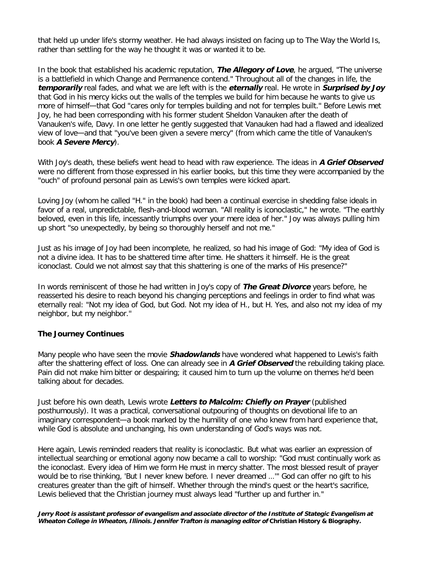that held up under life's stormy weather. He had always insisted on facing up to The Way the World Is, rather than settling for the way he thought it was or wanted it to be.

In the book that established his academic reputation, **The Allegory of Love**, he argued, "The universe is a battlefield in which Change and Permanence contend." Throughout all of the changes in life, the **temporarily** real fades, and what we are left with is the **eternally** real. He wrote in **Surprised by Joy** that God in his mercy kicks out the walls of the temples we build for him because he wants to give us more of himself—that God "cares only for temples building and not for temples built." Before Lewis met Joy, he had been corresponding with his former student Sheldon Vanauken after the death of Vanauken's wife, Davy. In one letter he gently suggested that Vanauken had had a flawed and idealized view of love—and that "you've been given a severe mercy" (from which came the title of Vanauken's book **A Severe Mercy**).

With Joy's death, these beliefs went head to head with raw experience. The ideas in **A Grief Observed** were no different from those expressed in his earlier books, but this time they were accompanied by the "ouch" of profound personal pain as Lewis's own temples were kicked apart.

Loving Joy (whom he called "H." in the book) had been a continual exercise in shedding false ideals in favor of a real, unpredictable, flesh-and-blood woman. "All reality is iconoclastic," he wrote. "The earthly beloved, even in this life, incessantly triumphs over your mere idea of her." Joy was always pulling him up short "so unexpectedly, by being so thoroughly herself and not me."

Just as his image of Joy had been incomplete, he realized, so had his image of God: "My idea of God is not a divine idea. It has to be shattered time after time. He shatters it himself. He is the great iconoclast. Could we not almost say that this shattering is one of the marks of His presence?"

In words reminiscent of those he had written in Joy's copy of **The Great Divorce** years before, he reasserted his desire to reach beyond his changing perceptions and feelings in order to find what was eternally real: "Not my idea of God, but God. Not my idea of H., but H. Yes, and also not my idea of my neighbor, but my neighbor."

### **The Journey Continues**

Many people who have seen the movie **Shadowlands** have wondered what happened to Lewis's faith after the shattering effect of loss. One can already see in **A Grief Observed** the rebuilding taking place. Pain did not make him bitter or despairing; it caused him to turn up the volume on themes he'd been talking about for decades.

Just before his own death, Lewis wrote **Letters to Malcolm: Chiefly on Prayer** (published posthumously). It was a practical, conversational outpouring of thoughts on devotional life to an imaginary correspondent—a book marked by the humility of one who knew from hard experience that, while God is absolute and unchanging, his own understanding of God's ways was not.

Here again, Lewis reminded readers that reality is iconoclastic. But what was earlier an expression of intellectual searching or emotional agony now became a call to worship: "God must continually work as the iconoclast. Every idea of Him we form He must in mercy shatter. The most blessed result of prayer would be to rise thinking, 'But I never knew before. I never dreamed …'" God can offer no gift to his creatures greater than the gift of himself. Whether through the mind's quest or the heart's sacrifice, Lewis believed that the Christian journey must always lead "further up and further in."

**Jerry Root is assistant professor of evangelism and associate director of the Institute of Stategic Evangelism at Wheaton College in Wheaton, Illinois. Jennifer Trafton is managing editor of Christian History & Biography.**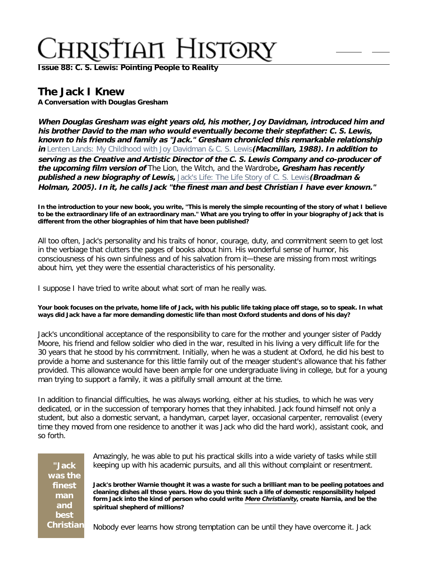**[Issue 88: C. S. Lewis: Pointing People to Reality](http://ctlstaging/ch/cdrom/collection.html?id=2868)**

## **The Jack I Knew**

**A Conversation with Douglas Gresham**

**When Douglas Gresham was eight years old, his mother, Joy Davidman, introduced him and his brother David to the man who would eventually become their stepfather: C. S. Lewis, known to his friends and family as "Jack." Gresham chronicled this remarkable relationship in** [Lenten Lands: My Childhood with Joy Davidman & C. S. Lewis](http://www.christianbook.com/Christian/Books/product/?item_no=0634472&p=1006325)**(Macmillan, 1988). In addition to serving as the Creative and Artistic Director of the C. S. Lewis Company and co-producer of the upcoming film version of** The Lion, the Witch, and the Wardrobe**, Gresham has recently published a new biography of Lewis,** [Jack's Life: The Life Story of C. S. Lewis](http://www.christianbook.com/Christian/Books/product/?item_no=432469&p=1006325)**(Broadman & Holman, 2005). In it, he calls Jack "the finest man and best Christian I have ever known."**

**In the introduction to your new book, you write, "This is merely the simple recounting of the story of what I believe to be the extraordinary life of an extraordinary man." What are you trying to offer in your biography of Jack that is different from the other biographies of him that have been published?**

All too often, Jack's personality and his traits of honor, courage, duty, and commitment seem to get lost in the verbiage that clutters the pages of books about him. His wonderful sense of humor, his consciousness of his own sinfulness and of his salvation from it—these are missing from most writings about him, yet they were the essential characteristics of his personality.

I suppose I have tried to write about what sort of man he really was.

**Your book focuses on the private, home life of Jack, with his public life taking place off stage, so to speak. In what ways did Jack have a far more demanding domestic life than most Oxford students and dons of his day?**

Jack's unconditional acceptance of the responsibility to care for the mother and younger sister of Paddy Moore, his friend and fellow soldier who died in the war, resulted in his living a very difficult life for the 30 years that he stood by his commitment. Initially, when he was a student at Oxford, he did his best to provide a home and sustenance for this little family out of the meager student's allowance that his father provided. This allowance would have been ample for one undergraduate living in college, but for a young man trying to support a family, it was a pitifully small amount at the time.

In addition to financial difficulties, he was always working, either at his studies, to which he was very dedicated, or in the succession of temporary homes that they inhabited. Jack found himself not only a student, but also a domestic servant, a handyman, carpet layer, occasional carpenter, removalist (every time they moved from one residence to another it was Jack who did the hard work), assistant cook, and so forth.

| "Jack            |
|------------------|
| was the          |
| finest           |
| man              |
| and              |
| best             |
| <b>Christian</b> |

Amazingly, he was able to put his practical skills into a wide variety of tasks while still keeping up with his academic pursuits, and all this without complaint or resentment.

**Jack's brother Warnie thought it was a waste for such a brilliant man to be peeling potatoes and cleaning dishes all those years. How do you think such a life of domestic responsibility helped form Jack into the kind of person who could write [Mere Christianity](http://www.christianbook.com/Christian/Books/product/?item_no=2926X&p=1006325), create Narnia, and be the spiritual shepherd of millions?**

Nobody ever learns how strong temptation can be until they have overcome it. Jack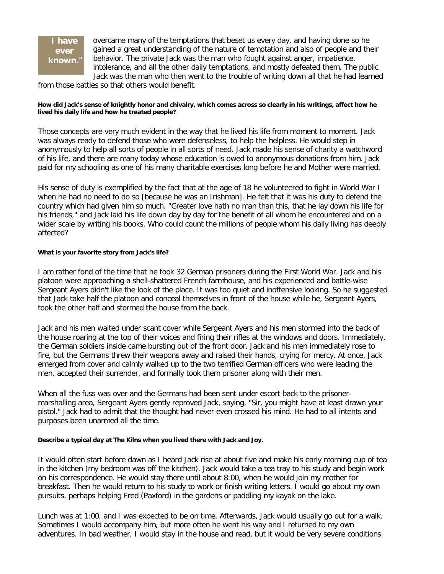### **I have ever known."**

overcame many of the temptations that beset us every day, and having done so he gained a great understanding of the nature of temptation and also of people and their behavior. The private Jack was the man who fought against anger, impatience, intolerance, and all the other daily temptations, and mostly defeated them. The public Jack was the man who then went to the trouble of writing down all that he had learned

from those battles so that others would benefit.

### **How did Jack's sense of knightly honor and chivalry, which comes across so clearly in his writings, affect how he lived his daily life and how he treated people?**

Those concepts are very much evident in the way that he lived his life from moment to moment. Jack was always ready to defend those who were defenseless, to help the helpless. He would step in anonymously to help all sorts of people in all sorts of need. Jack made his sense of charity a watchword of his life, and there are many today whose education is owed to anonymous donations from him. Jack paid for my schooling as one of his many charitable exercises long before he and Mother were married.

His sense of duty is exemplified by the fact that at the age of 18 he volunteered to fight in World War I when he had no need to do so [because he was an Irishman]. He felt that it was his duty to defend the country which had given him so much. "Greater love hath no man than this, that he lay down his life for his friends," and Jack laid his life down day by day for the benefit of all whom he encountered and on a wider scale by writing his books. Who could count the millions of people whom his daily living has deeply affected?

### **What is your favorite story from Jack's life?**

I am rather fond of the time that he took 32 German prisoners during the First World War. Jack and his platoon were approaching a shell-shattered French farmhouse, and his experienced and battle-wise Sergeant Ayers didn't like the look of the place. It was too quiet and inoffensive looking. So he suggested that Jack take half the platoon and conceal themselves in front of the house while he, Sergeant Ayers, took the other half and stormed the house from the back.

Jack and his men waited under scant cover while Sergeant Ayers and his men stormed into the back of the house roaring at the top of their voices and firing their rifles at the windows and doors. Immediately, the German soldiers inside came bursting out of the front door. Jack and his men immediately rose to fire, but the Germans threw their weapons away and raised their hands, crying for mercy. At once, Jack emerged from cover and calmly walked up to the two terrified German officers who were leading the men, accepted their surrender, and formally took them prisoner along with their men.

When all the fuss was over and the Germans had been sent under escort back to the prisonermarshalling area, Sergeant Ayers gently reproved Jack, saying, "Sir, you might have at least drawn your pistol." Jack had to admit that the thought had never even crossed his mind. He had to all intents and purposes been unarmed all the time.

### **Describe a typical day at The Kilns when you lived there with Jack and Joy.**

It would often start before dawn as I heard Jack rise at about five and make his early morning cup of tea in the kitchen (my bedroom was off the kitchen). Jack would take a tea tray to his study and begin work on his correspondence. He would stay there until about 8:00, when he would join my mother for breakfast. Then he would return to his study to work or finish writing letters. I would go about my own pursuits, perhaps helping Fred (Paxford) in the gardens or paddling my kayak on the lake.

Lunch was at 1:00, and I was expected to be on time. Afterwards, Jack would usually go out for a walk. Sometimes I would accompany him, but more often he went his way and I returned to my own adventures. In bad weather, I would stay in the house and read, but it would be very severe conditions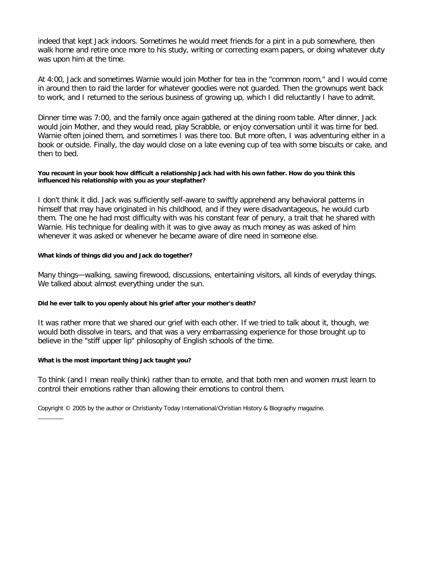indeed that kept Jack indoors. Sometimes he would meet friends for a pint in a pub somewhere, then walk home and retire once more to his study, writing or correcting exam papers, or doing whatever duty was upon him at the time.

At 4:00, Jack and sometimes Warnie would join Mother for tea in the "common room," and I would come in around then to raid the larder for whatever goodies were not guarded. Then the grownups went back to work, and I returned to the serious business of growing up, which I did reluctantly I have to admit.

Dinner time was 7:00, and the family once again gathered at the dining room table. After dinner, Jack would join Mother, and they would read, play Scrabble, or enjoy conversation until it was time for bed. Warnie often joined them, and sometimes I was there too. But more often, I was adventuring either in a book or outside. Finally, the day would close on a late evening cup of tea with some biscuits or cake, and then to bed.

#### **You recount in your book how difficult a relationship Jack had with his own father. How do you think this influenced his relationship with you as your stepfather?**

I don't think it did. Jack was sufficiently self-aware to swiftly apprehend any behavioral patterns in himself that may have originated in his childhood, and if they were disadvantageous, he would curb them. The one he had most difficulty with was his constant fear of penury, a trait that he shared with Warnie. His technique for dealing with it was to give away as much money as was asked of him whenever it was asked or whenever he became aware of dire need in someone else.

### **What kinds of things did you and Jack do together?**

Many things—walking, sawing firewood, discussions, entertaining visitors, all kinds of everyday things. We talked about almost everything under the sun.

### **Did he ever talk to you openly about his grief after your mother's death?**

It was rather more that we shared our grief with each other. If we tried to talk about it, though, we would both dissolve in tears, and that was a very embarrassing experience for those brought up to believe in the "stiff upper lip" philosophy of English schools of the time.

### **What is the most important thing Jack taught you?**

To think (and I mean really think) rather than to emote, and that both men and women must learn to control their emotions rather than allowing their emotions to control them.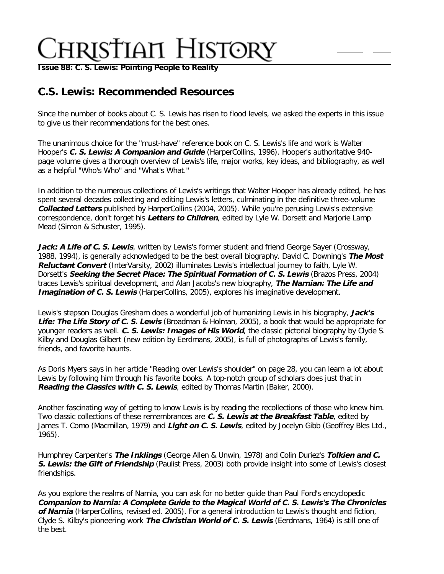**[Issue 88: C. S. Lewis: Pointing People to Reality](http://ctlstaging/ch/cdrom/collection.html?id=2868)**

## **C.S. Lewis: Recommended Resources**

Since the number of books about C. S. Lewis has risen to flood levels, we asked the experts in this issue to give us their recommendations for the best ones.

The unanimous choice for the "must-have" reference book on C. S. Lewis's life and work is Walter Hooper's **C. S. Lewis: A Companion and Guide** (HarperCollins, 1996). Hooper's authoritative 940 page volume gives a thorough overview of Lewis's life, major works, key ideas, and bibliography, as well as a helpful "Who's Who" and "What's What."

In addition to the numerous collections of Lewis's writings that Walter Hooper has already edited, he has spent several decades collecting and editing Lewis's letters, culminating in the definitive three-volume **Collected Letters** published by HarperCollins (2004, 2005). While you're perusing Lewis's extensive correspondence, don't forget his **Letters to Children**, edited by Lyle W. Dorsett and Marjorie Lamp Mead (Simon & Schuster, 1995).

Jack: A Life of C. S. Lewis, written by Lewis's former student and friend George Sayer (Crossway, 1988, 1994), is generally acknowledged to be the best overall biography. David C. Downing's **The Most Reluctant Convert** (InterVarsity, 2002) illuminates Lewis's intellectual journey to faith, Lyle W. Dorsett's **Seeking the Secret Place: The Spiritual Formation of C. S. Lewis** (Brazos Press, 2004) traces Lewis's spiritual development, and Alan Jacobs's new biography, **The Narnian: The Life and Imagination of C. S. Lewis** (HarperCollins, 2005), explores his imaginative development.

Lewis's stepson Douglas Gresham does a wonderful job of humanizing Lewis in his biography, **Jack's Life: The Life Story of C. S. Lewis** (Broadman & Holman, 2005), a book that would be appropriate for younger readers as well. **C. S. Lewis: Images of His World**, the classic pictorial biography by Clyde S. Kilby and Douglas Gilbert (new edition by Eerdmans, 2005), is full of photographs of Lewis's family, friends, and favorite haunts.

As Doris Myers says in her article "Reading over Lewis's shoulder" on page 28, you can learn a lot about Lewis by following him through his favorite books. A top-notch group of scholars does just that in **Reading the Classics with C. S. Lewis**, edited by Thomas Martin (Baker, 2000).

Another fascinating way of getting to know Lewis is by reading the recollections of those who knew him. Two classic collections of these remembrances are **C. S. Lewis at the Breakfast Table**, edited by James T. Como (Macmillan, 1979) and **Light on C. S. Lewis**, edited by Jocelyn Gibb (Geoffrey Bles Ltd., 1965).

Humphrey Carpenter's **The Inklings** (George Allen & Unwin, 1978) and Colin Duriez's **Tolkien and C. S. Lewis: the Gift of Friendship** (Paulist Press, 2003) both provide insight into some of Lewis's closest friendships.

As you explore the realms of Narnia, you can ask for no better guide than Paul Ford's encyclopedic **Companion to Narnia: A Complete Guide to the Magical World of C. S. Lewis's The Chronicles of Narnia** (HarperCollins, revised ed. 2005). For a general introduction to Lewis's thought and fiction, Clyde S. Kilby's pioneering work **The Christian World of C. S. Lewis** (Eerdmans, 1964) is still one of the best.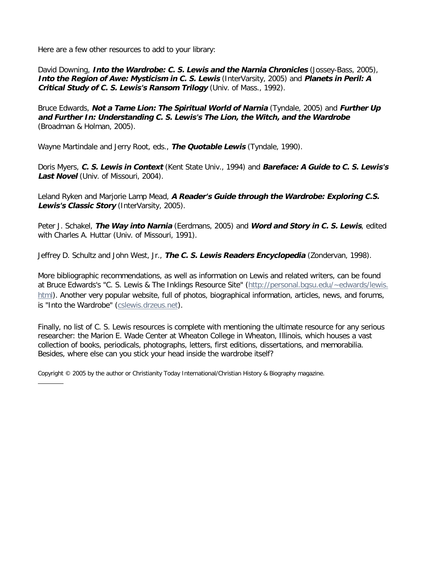Here are a few other resources to add to your library:

David Downing, **Into the Wardrobe: C. S. Lewis and the Narnia Chronicles** (Jossey-Bass, 2005), **Into the Region of Awe: Mysticism in C. S. Lewis** (InterVarsity, 2005) and **Planets in Peril: A Critical Study of C. S. Lewis's Ransom Trilogy** (Univ. of Mass., 1992).

Bruce Edwards, **Not a Tame Lion: The Spiritual World of Narnia** (Tyndale, 2005) and **Further Up and Further In: Understanding C. S. Lewis's The Lion, the Witch, and the Wardrobe** (Broadman & Holman, 2005).

Wayne Martindale and Jerry Root, eds., **The Quotable Lewis** (Tyndale, 1990).

Doris Myers, **C. S. Lewis in Context** (Kent State Univ., 1994) and **Bareface: A Guide to C. S. Lewis's**  Last Novel (Univ. of Missouri, 2004).

Leland Ryken and Marjorie Lamp Mead, **A Reader's Guide through the Wardrobe: Exploring C.S. Lewis's Classic Story** (InterVarsity, 2005).

Peter J. Schakel, **The Way into Narnia** (Eerdmans, 2005) and **Word and Story in C. S. Lewis**, edited with Charles A. Huttar (Univ. of Missouri, 1991).

Jeffrey D. Schultz and John West, Jr., **The C. S. Lewis Readers Encyclopedia** (Zondervan, 1998).

More bibliographic recommendations, as well as information on Lewis and related writers, can be found at Bruce Edwards's "C. S. Lewis & The Inklings Resource Site" [\(http://personal.bgsu.edu/~edwards/lewis.](http://personal.bgsu.edu/~edwards/lewis.html) [html](http://personal.bgsu.edu/~edwards/lewis.html)). Another very popular website, full of photos, biographical information, articles, news, and forums, is "Into the Wardrobe" [\(cslewis.drzeus.net](http://cslewis.drzeus.net/)).

Finally, no list of C. S. Lewis resources is complete with mentioning the ultimate resource for any serious researcher: the Marion E. Wade Center at Wheaton College in Wheaton, Illinois, which houses a vast collection of books, periodicals, photographs, letters, first editions, dissertations, and memorabilia. Besides, where else can you stick your head inside the wardrobe itself?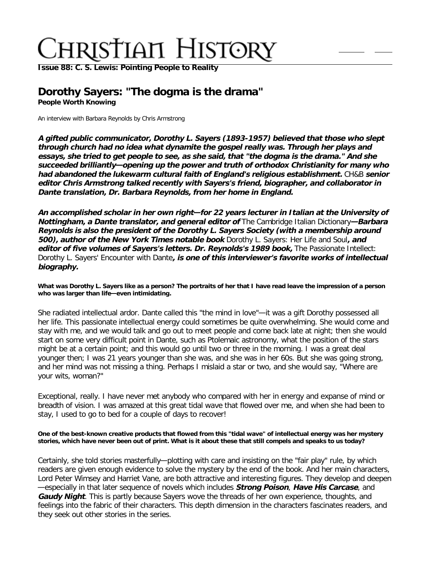**[Issue 88: C. S. Lewis: Pointing People to Reality](http://ctlstaging/ch/cdrom/collection.html?id=2868)**

### **Dorothy Sayers: "The dogma is the drama" People Worth Knowing**

An interview with Barbara Reynolds by Chris Armstrong

**A gifted public communicator, Dorothy L. Sayers (1893-1957) believed that those who slept through church had no idea what dynamite the gospel really was. Through her plays and essays, she tried to get people to see, as she said, that "the dogma is the drama." And she succeeded brilliantly—opening up the power and truth of orthodox Christianity for many who had abandoned the lukewarm cultural faith of England's religious establishment.** CH&B **senior editor Chris Armstrong talked recently with Sayers's friend, biographer, and collaborator in Dante translation, Dr. Barbara Reynolds, from her home in England.**

**An accomplished scholar in her own right—for 22 years lecturer in Italian at the University of Nottingham, a Dante translator, and general editor of** The Cambridge Italian Dictionary**—Barbara Reynolds is also the president of the Dorothy L. Sayers Society (with a membership around 500), author of the New York Times notable book** Dorothy L. Sayers: Her Life and Soul**, and editor of five volumes of Sayers's letters. Dr. Reynolds's 1989 book,** The Passionate Intellect: Dorothy L. Sayers' Encounter with Dante**, is one of this interviewer's favorite works of intellectual biography.**

**What was Dorothy L. Sayers like as a person? The portraits of her that I have read leave the impression of a person who was larger than life—even intimidating.**

She radiated intellectual ardor. Dante called this "the mind in love"—it was a gift Dorothy possessed all her life. This passionate intellectual energy could sometimes be quite overwhelming. She would come and stay with me, and we would talk and go out to meet people and come back late at night; then she would start on some very difficult point in Dante, such as Ptolemaic astronomy, what the position of the stars might be at a certain point; and this would go until two or three in the morning. I was a great deal younger then; I was 21 years younger than she was, and she was in her 60s. But she was going strong, and her mind was not missing a thing. Perhaps I mislaid a star or two, and she would say, "Where are your wits, woman?"

Exceptional, really. I have never met anybody who compared with her in energy and expanse of mind or breadth of vision. I was amazed at this great tidal wave that flowed over me, and when she had been to stay, I used to go to bed for a couple of days to recover!

#### **One of the best-known creative products that flowed from this "tidal wave" of intellectual energy was her mystery stories, which have never been out of print. What is it about these that still compels and speaks to us today?**

Certainly, she told stories masterfully—plotting with care and insisting on the "fair play" rule, by which readers are given enough evidence to solve the mystery by the end of the book. And her main characters, Lord Peter Wimsey and Harriet Vane, are both attractive and interesting figures. They develop and deepen —especially in that later sequence of novels which includes **Strong Poison**, **Have His Carcase**, and **Gaudy Night**. This is partly because Sayers wove the threads of her own experience, thoughts, and feelings into the fabric of their characters. This depth dimension in the characters fascinates readers, and they seek out other stories in the series.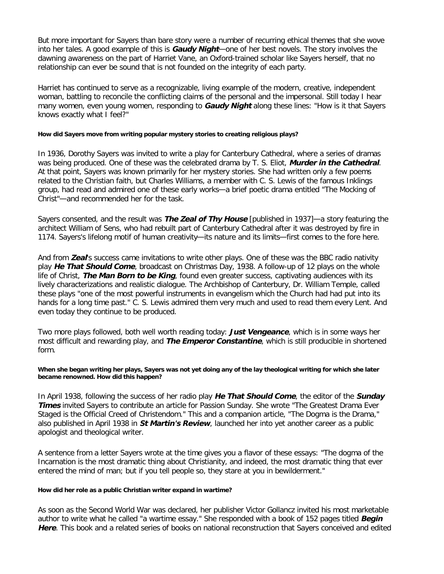But more important for Sayers than bare story were a number of recurring ethical themes that she wove into her tales. A good example of this is **Gaudy Night**—one of her best novels. The story involves the dawning awareness on the part of Harriet Vane, an Oxford-trained scholar like Sayers herself, that no relationship can ever be sound that is not founded on the integrity of each party.

Harriet has continued to serve as a recognizable, living example of the modern, creative, independent woman, battling to reconcile the conflicting claims of the personal and the impersonal. Still today I hear many women, even young women, responding to **Gaudy Night** along these lines: "How is it that Sayers knows exactly what I feel?"

#### **How did Sayers move from writing popular mystery stories to creating religious plays?**

In 1936, Dorothy Sayers was invited to write a play for Canterbury Cathedral, where a series of dramas was being produced. One of these was the celebrated drama by T. S. Eliot, **Murder in the Cathedral**. At that point, Sayers was known primarily for her mystery stories. She had written only a few poems related to the Christian faith, but Charles Williams, a member with C. S. Lewis of the famous Inklings group, had read and admired one of these early works—a brief poetic drama entitled "The Mocking of Christ"—and recommended her for the task.

Sayers consented, and the result was **The Zeal of Thy House** [published in 1937]—a story featuring the architect William of Sens, who had rebuilt part of Canterbury Cathedral after it was destroyed by fire in 1174. Sayers's lifelong motif of human creativity—its nature and its limits—first comes to the fore here.

And from **Zeal**'s success came invitations to write other plays. One of these was the BBC radio nativity play **He That Should Come**, broadcast on Christmas Day, 1938. A follow-up of 12 plays on the whole life of Christ, **The Man Born to be King**, found even greater success, captivating audiences with its lively characterizations and realistic dialogue. The Archbishop of Canterbury, Dr. William Temple, called these plays "one of the most powerful instruments in evangelism which the Church had had put into its hands for a long time past." C. S. Lewis admired them very much and used to read them every Lent. And even today they continue to be produced.

Two more plays followed, both well worth reading today: **Just Vengeance**, which is in some ways her most difficult and rewarding play, and **The Emperor Constantine**, which is still producible in shortened form.

#### **When she began writing her plays, Sayers was not yet doing any of the lay theological writing for which she later became renowned. How did this happen?**

In April 1938, following the success of her radio play **He That Should Come**, the editor of the **Sunday Times** invited Sayers to contribute an article for Passion Sunday. She wrote "The Greatest Drama Ever Staged is the Official Creed of Christendom." This and a companion article, "The Dogma is the Drama," also published in April 1938 in **St Martin's Review**, launched her into yet another career as a public apologist and theological writer.

A sentence from a letter Sayers wrote at the time gives you a flavor of these essays: "The dogma of the Incarnation is the most dramatic thing about Christianity, and indeed, the most dramatic thing that ever entered the mind of man; but if you tell people so, they stare at you in bewilderment."

#### **How did her role as a public Christian writer expand in wartime?**

As soon as the Second World War was declared, her publisher Victor Gollancz invited his most marketable author to write what he called "a wartime essay." She responded with a book of 152 pages titled **Begin Here**. This book and a related series of books on national reconstruction that Sayers conceived and edited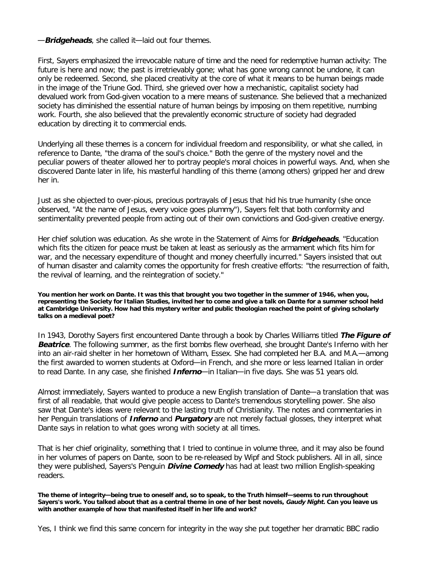—**Bridgeheads**, she called it—laid out four themes.

First, Sayers emphasized the irrevocable nature of time and the need for redemptive human activity: The future is here and now; the past is irretrievably gone; what has gone wrong cannot be undone, it can only be redeemed. Second, she placed creativity at the core of what it means to be human beings made in the image of the Triune God. Third, she grieved over how a mechanistic, capitalist society had devalued work from God-given vocation to a mere means of sustenance. She believed that a mechanized society has diminished the essential nature of human beings by imposing on them repetitive, numbing work. Fourth, she also believed that the prevalently economic structure of society had degraded education by directing it to commercial ends.

Underlying all these themes is a concern for individual freedom and responsibility, or what she called, in reference to Dante, "the drama of the soul's choice." Both the genre of the mystery novel and the peculiar powers of theater allowed her to portray people's moral choices in powerful ways. And, when she discovered Dante later in life, his masterful handling of this theme (among others) gripped her and drew her in.

Just as she objected to over-pious, precious portrayals of Jesus that hid his true humanity (she once observed, "At the name of Jesus, every voice goes plummy"), Sayers felt that both conformity and sentimentality prevented people from acting out of their own convictions and God-given creative energy.

Her chief solution was education. As she wrote in the Statement of Aims for **Bridgeheads**, "Education which fits the citizen for peace must be taken at least as seriously as the armament which fits him for war, and the necessary expenditure of thought and money cheerfully incurred." Sayers insisted that out of human disaster and calamity comes the opportunity for fresh creative efforts: "the resurrection of faith, the revival of learning, and the reintegration of society."

**You mention her work on Dante. It was this that brought you two together in the summer of 1946, when you, representing the Society for Italian Studies, invited her to come and give a talk on Dante for a summer school held at Cambridge University. How had this mystery writer and public theologian reached the point of giving scholarly talks on a medieval poet?**

In 1943, Dorothy Sayers first encountered Dante through a book by Charles Williams titled **The Figure of Beatrice**. The following summer, as the first bombs flew overhead, she brought Dante's Inferno with her into an air-raid shelter in her hometown of Witham, Essex. She had completed her B.A. and M.A.—among the first awarded to women students at Oxford—in French, and she more or less learned Italian in order to read Dante. In any case, she finished **Inferno**—in Italian—in five days. She was 51 years old.

Almost immediately, Sayers wanted to produce a new English translation of Dante—a translation that was first of all readable, that would give people access to Dante's tremendous storytelling power. She also saw that Dante's ideas were relevant to the lasting truth of Christianity. The notes and commentaries in her Penguin translations of **Inferno** and **Purgatory** are not merely factual glosses, they interpret what Dante says in relation to what goes wrong with society at all times.

That is her chief originality, something that I tried to continue in volume three, and it may also be found in her volumes of papers on Dante, soon to be re-released by Wipf and Stock publishers. All in all, since they were published, Sayers's Penguin **Divine Comedy** has had at least two million English-speaking readers.

**The theme of integrity—being true to oneself and, so to speak, to the Truth himself—seems to run throughout Sayers's work. You talked about that as a central theme in one of her best novels, Gaudy Night. Can you leave us with another example of how that manifested itself in her life and work?**

Yes, I think we find this same concern for integrity in the way she put together her dramatic BBC radio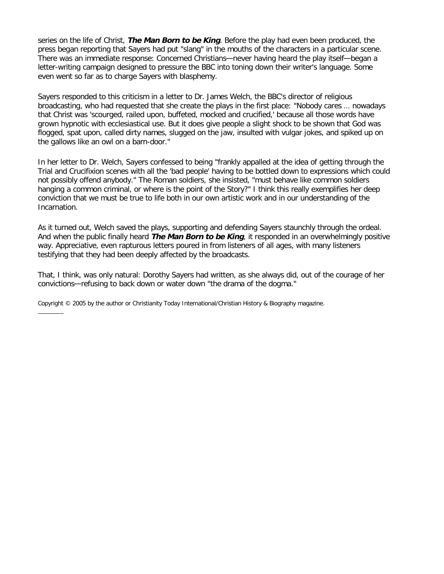series on the life of Christ, **The Man Born to be King**. Before the play had even been produced, the press began reporting that Sayers had put "slang" in the mouths of the characters in a particular scene. There was an immediate response: Concerned Christians—never having heard the play itself—began a letter-writing campaign designed to pressure the BBC into toning down their writer's language. Some even went so far as to charge Sayers with blasphemy.

Sayers responded to this criticism in a letter to Dr. James Welch, the BBC's director of religious broadcasting, who had requested that she create the plays in the first place: "Nobody cares … nowadays that Christ was 'scourged, railed upon, buffeted, mocked and crucified,' because all those words have grown hypnotic with ecclesiastical use. But it does give people a slight shock to be shown that God was flogged, spat upon, called dirty names, slugged on the jaw, insulted with vulgar jokes, and spiked up on the gallows like an owl on a barn-door."

In her letter to Dr. Welch, Sayers confessed to being "frankly appalled at the idea of getting through the Trial and Crucifixion scenes with all the 'bad people' having to be bottled down to expressions which could not possibly offend anybody." The Roman soldiers, she insisted, "must behave like common soldiers hanging a common criminal, or where is the point of the Story?" I think this really exemplifies her deep conviction that we must be true to life both in our own artistic work and in our understanding of the Incarnation.

As it turned out, Welch saved the plays, supporting and defending Sayers staunchly through the ordeal. And when the public finally heard **The Man Born to be King**, it responded in an overwhelmingly positive way. Appreciative, even rapturous letters poured in from listeners of all ages, with many listeners testifying that they had been deeply affected by the broadcasts.

That, I think, was only natural: Dorothy Sayers had written, as she always did, out of the courage of her convictions—refusing to back down or water down "the drama of the dogma."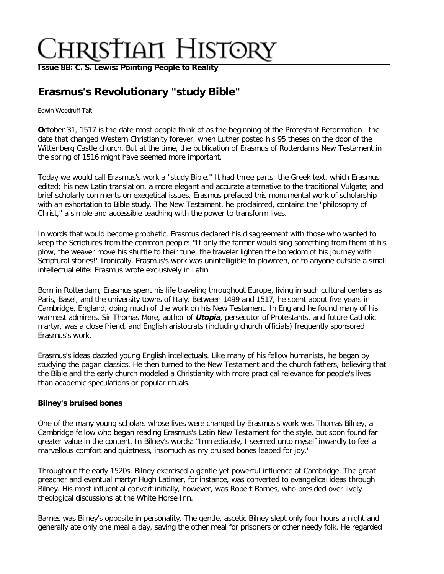**[Issue 88: C. S. Lewis: Pointing People to Reality](http://ctlstaging/ch/cdrom/collection.html?id=2868)**

## **Erasmus's Revolutionary "study Bible"**

#### Edwin Woodruff Tait

**O**ctober 31, 1517 is the date most people think of as the beginning of the Protestant Reformation—the date that changed Western Christianity forever, when Luther posted his 95 theses on the door of the Wittenberg Castle church. But at the time, the publication of Erasmus of Rotterdam's New Testament in the spring of 1516 might have seemed more important.

Today we would call Erasmus's work a "study Bible." It had three parts: the Greek text, which Erasmus edited; his new Latin translation, a more elegant and accurate alternative to the traditional Vulgate; and brief scholarly comments on exegetical issues. Erasmus prefaced this monumental work of scholarship with an exhortation to Bible study. The New Testament, he proclaimed, contains the "philosophy of Christ," a simple and accessible teaching with the power to transform lives.

In words that would become prophetic, Erasmus declared his disagreement with those who wanted to keep the Scriptures from the common people: "If only the farmer would sing something from them at his plow, the weaver move his shuttle to their tune, the traveler lighten the boredom of his journey with Scriptural stories!" Ironically, Erasmus's work was unintelligible to plowmen, or to anyone outside a small intellectual elite: Erasmus wrote exclusively in Latin.

Born in Rotterdam, Erasmus spent his life traveling throughout Europe, living in such cultural centers as Paris, Basel, and the university towns of Italy. Between 1499 and 1517, he spent about five years in Cambridge, England, doing much of the work on his New Testament. In England he found many of his warmest admirers. Sir Thomas More, author of **Utopia**, persecutor of Protestants, and future Catholic martyr, was a close friend, and English aristocrats (including church officials) frequently sponsored Erasmus's work.

Erasmus's ideas dazzled young English intellectuals. Like many of his fellow humanists, he began by studying the pagan classics. He then turned to the New Testament and the church fathers, believing that the Bible and the early church modeled a Christianity with more practical relevance for people's lives than academic speculations or popular rituals.

### **Bilney's bruised bones**

One of the many young scholars whose lives were changed by Erasmus's work was Thomas Bilney, a Cambridge fellow who began reading Erasmus's Latin New Testament for the style, but soon found far greater value in the content. In Bilney's words: "Immediately, I seemed unto myself inwardly to feel a marvellous comfort and quietness, insomuch as my bruised bones leaped for joy."

Throughout the early 1520s, Bilney exercised a gentle yet powerful influence at Cambridge. The great preacher and eventual martyr Hugh Latimer, for instance, was converted to evangelical ideas through Bilney. His most influential convert initially, however, was Robert Barnes, who presided over lively theological discussions at the White Horse Inn.

Barnes was Bilney's opposite in personality. The gentle, ascetic Bilney slept only four hours a night and generally ate only one meal a day, saving the other meal for prisoners or other needy folk. He regarded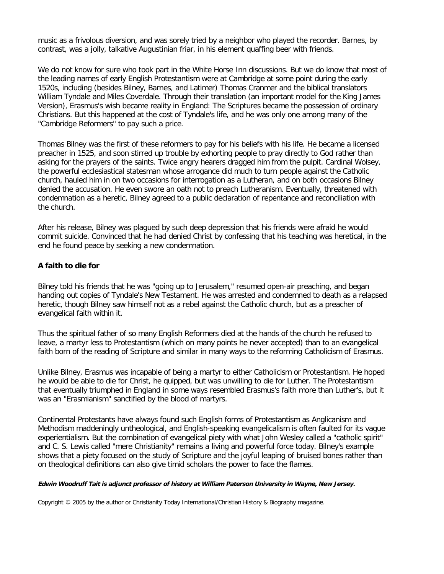music as a frivolous diversion, and was sorely tried by a neighbor who played the recorder. Barnes, by contrast, was a jolly, talkative Augustinian friar, in his element quaffing beer with friends.

We do not know for sure who took part in the White Horse Inn discussions. But we do know that most of the leading names of early English Protestantism were at Cambridge at some point during the early 1520s, including (besides Bilney, Barnes, and Latimer) Thomas Cranmer and the biblical translators William Tyndale and Miles Coverdale. Through their translation (an important model for the King James Version), Erasmus's wish became reality in England: The Scriptures became the possession of ordinary Christians. But this happened at the cost of Tyndale's life, and he was only one among many of the "Cambridge Reformers" to pay such a price.

Thomas Bilney was the first of these reformers to pay for his beliefs with his life. He became a licensed preacher in 1525, and soon stirred up trouble by exhorting people to pray directly to God rather than asking for the prayers of the saints. Twice angry hearers dragged him from the pulpit. Cardinal Wolsey, the powerful ecclesiastical statesman whose arrogance did much to turn people against the Catholic church, hauled him in on two occasions for interrogation as a Lutheran, and on both occasions Bilney denied the accusation. He even swore an oath not to preach Lutheranism. Eventually, threatened with condemnation as a heretic, Bilney agreed to a public declaration of repentance and reconciliation with the church.

After his release, Bilney was plagued by such deep depression that his friends were afraid he would commit suicide. Convinced that he had denied Christ by confessing that his teaching was heretical, in the end he found peace by seeking a new condemnation.

### **A faith to die for**

Bilney told his friends that he was "going up to Jerusalem," resumed open-air preaching, and began handing out copies of Tyndale's New Testament. He was arrested and condemned to death as a relapsed heretic, though Bilney saw himself not as a rebel against the Catholic church, but as a preacher of evangelical faith within it.

Thus the spiritual father of so many English Reformers died at the hands of the church he refused to leave, a martyr less to Protestantism (which on many points he never accepted) than to an evangelical faith born of the reading of Scripture and similar in many ways to the reforming Catholicism of Erasmus.

Unlike Bilney, Erasmus was incapable of being a martyr to either Catholicism or Protestantism. He hoped he would be able to die for Christ, he quipped, but was unwilling to die for Luther. The Protestantism that eventually triumphed in England in some ways resembled Erasmus's faith more than Luther's, but it was an "Erasmianism" sanctified by the blood of martyrs.

Continental Protestants have always found such English forms of Protestantism as Anglicanism and Methodism maddeningly untheological, and English-speaking evangelicalism is often faulted for its vague experientialism. But the combination of evangelical piety with what John Wesley called a "catholic spirit" and C. S. Lewis called "mere Christianity" remains a living and powerful force today. Bilney's example shows that a piety focused on the study of Scripture and the joyful leaping of bruised bones rather than on theological definitions can also give timid scholars the power to face the flames.

#### **Edwin Woodruff Tait is adjunct professor of history at William Paterson University in Wayne, New Jersey.**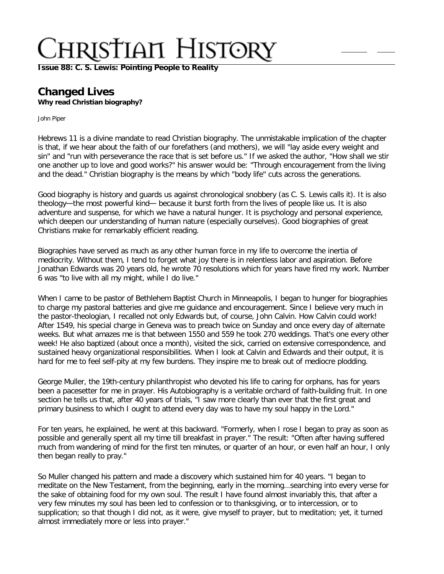**[Issue 88: C. S. Lewis: Pointing People to Reality](http://ctlstaging/ch/cdrom/collection.html?id=2868)**

### **Changed Lives Why read Christian biography?**

John Piper

Hebrews 11 is a divine mandate to read Christian biography. The unmistakable implication of the chapter is that, if we hear about the faith of our forefathers (and mothers), we will "lay aside every weight and sin" and "run with perseverance the race that is set before us." If we asked the author, "How shall we stir one another up to love and good works?" his answer would be: "Through encouragement from the living and the dead." Christian biography is the means by which "body life" cuts across the generations.

Good biography is history and guards us against chronological snobbery (as C. S. Lewis calls it). It is also theology—the most powerful kind— because it burst forth from the lives of people like us. It is also adventure and suspense, for which we have a natural hunger. It is psychology and personal experience, which deepen our understanding of human nature (especially ourselves). Good biographies of great Christians make for remarkably efficient reading.

Biographies have served as much as any other human force in my life to overcome the inertia of mediocrity. Without them, I tend to forget what joy there is in relentless labor and aspiration. Before Jonathan Edwards was 20 years old, he wrote 70 resolutions which for years have fired my work. Number 6 was "to live with all my might, while I do live."

When I came to be pastor of Bethlehem Baptist Church in Minneapolis, I began to hunger for biographies to charge my pastoral batteries and give me guidance and encouragement. Since I believe very much in the pastor-theologian, I recalled not only Edwards but, of course, John Calvin. How Calvin could work! After 1549, his special charge in Geneva was to preach twice on Sunday and once every day of alternate weeks. But what amazes me is that between 1550 and 559 he took 270 weddings. That's one every other week! He also baptized (about once a month), visited the sick, carried on extensive correspondence, and sustained heavy organizational responsibilities. When I look at Calvin and Edwards and their output, it is hard for me to feel self-pity at my few burdens. They inspire me to break out of mediocre plodding.

George Muller, the 19th-century philanthropist who devoted his life to caring for orphans, has for years been a pacesetter for me in prayer. His Autobiography is a veritable orchard of faith-building fruit. In one section he tells us that, after 40 years of trials, "I saw more clearly than ever that the first great and primary business to which I ought to attend every day was to have my soul happy in the Lord."

For ten years, he explained, he went at this backward. "Formerly, when I rose I began to pray as soon as possible and generally spent all my time till breakfast in prayer." The result: "Often after having suffered much from wandering of mind for the first ten minutes, or quarter of an hour, or even half an hour, I only then began really to pray."

So Muller changed his pattern and made a discovery which sustained him for 40 years. "I began to meditate on the New Testament, from the beginning, early in the morning…searching into every verse for the sake of obtaining food for my own soul. The result I have found almost invariably this, that after a very few minutes my soul has been led to confession or to thanksgiving, or to intercession, or to supplication; so that though I did not, as it were, give myself to prayer, but to meditation; yet, it turned almost immediately more or less into prayer."